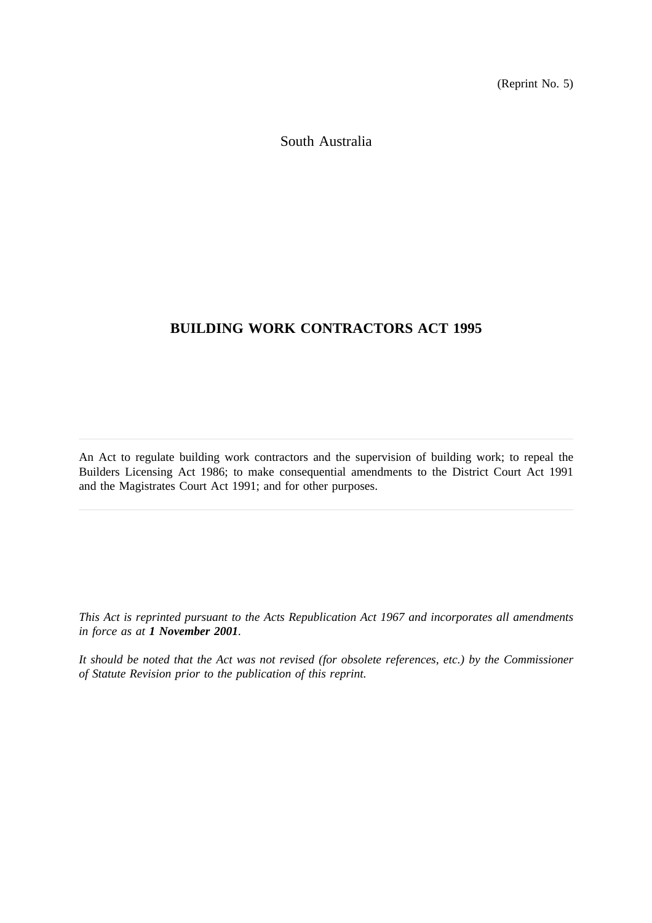(Reprint No. 5)

South Australia

# **BUILDING WORK CONTRACTORS ACT 1995**

An Act to regulate building work contractors and the supervision of building work; to repeal the Builders Licensing Act 1986; to make consequential amendments to the District Court Act 1991 and the Magistrates Court Act 1991; and for other purposes.

*This Act is reprinted pursuant to the Acts Republication Act 1967 and incorporates all amendments in force as at 1 November 2001.*

*It should be noted that the Act was not revised (for obsolete references, etc.) by the Commissioner of Statute Revision prior to the publication of this reprint.*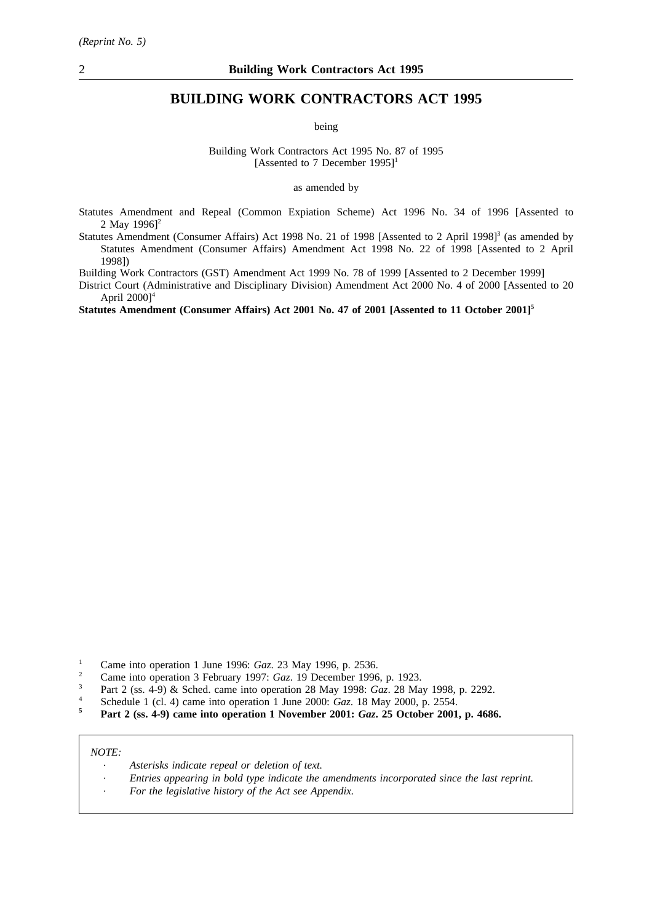# **BUILDING WORK CONTRACTORS ACT 1995**

being

Building Work Contractors Act 1995 No. 87 of 1995 [Assented to 7 December  $1995$ ]<sup>1</sup>

as amended by

- Statutes Amendment and Repeal (Common Expiation Scheme) Act 1996 No. 34 of 1996 [Assented to 2 May  $19961^2$
- Statutes Amendment (Consumer Affairs) Act 1998 No. 21 of 1998 [Assented to 2 April 1998]<sup>3</sup> (as amended by Statutes Amendment (Consumer Affairs) Amendment Act 1998 No. 22 of 1998 [Assented to 2 April 1998])

Building Work Contractors (GST) Amendment Act 1999 No. 78 of 1999 [Assented to 2 December 1999]

District Court (Administrative and Disciplinary Division) Amendment Act 2000 No. 4 of 2000 [Assented to 20 April  $2000$ <sup>4</sup>

**Statutes Amendment (Consumer Affairs) Act 2001 No. 47 of 2001 [Assented to 11 October 2001]5**

- <sup>1</sup> Came into operation 1 June 1996: *Gaz*. 23 May 1996, p. 2536.
- <sup>2</sup> Came into operation 3 February 1997: *Gaz*. 19 December 1996, p. 1923.
- <sup>3</sup> Part 2 (ss. 4-9) & Sched. came into operation 28 May 1998: *Gaz*. 28 May 1998, p. 2292.
- <sup>4</sup> Schedule 1 (cl. 4) came into operation 1 June 2000: *Gaz*. 18 May 2000, p. 2554.<br>**Port 2** (ss. 4.9) came into operation 1 November 2001: *Gaz*, 25 October 2001
- **<sup>5</sup> Part 2 (ss. 4-9) came into operation 1 November 2001:** *Gaz***. 25 October 2001, p. 4686.**

*NOTE:*

- *Asterisks indicate repeal or deletion of text.*
- *Entries appearing in bold type indicate the amendments incorporated since the last reprint.*
- *For the legislative history of the Act see Appendix.*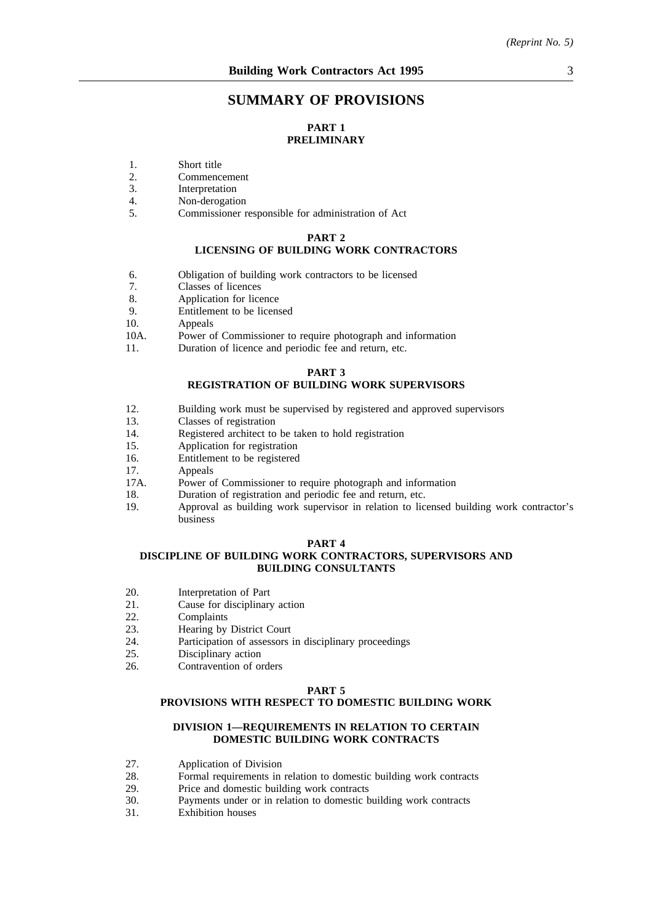# **SUMMARY OF PROVISIONS**

# **PART 1 PRELIMINARY**

- 1. Short title<br>2. Commenc
- 2. Commencement<br>3. Interpretation
- 3. Interpretation<br>4 Non-derogation
- 4. Non-derogation<br>5. Commissioner r
- 5. Commissioner responsible for administration of Act

#### **PART 2**

# **LICENSING OF BUILDING WORK CONTRACTORS**

- 6. Obligation of building work contractors to be licensed
- 7. Classes of licences<br>8. Application for lice
- 8. Application for licence<br>9. Entitlement to be licens
- Entitlement to be licensed
- 10. Appeals
- 10A. Power of Commissioner to require photograph and information
- 11. Duration of licence and periodic fee and return, etc.

#### **PART 3**

#### **REGISTRATION OF BUILDING WORK SUPERVISORS**

- 12. Building work must be supervised by registered and approved supervisors
- 13. Classes of registration
- 14. Registered architect to be taken to hold registration
- 15. Application for registration
- 16. Entitlement to be registered
- 17. Appeals
- 17A. Power of Commissioner to require photograph and information
- 18. Duration of registration and periodic fee and return, etc.
- 19. Approval as building work supervisor in relation to licensed building work contractor's business

#### **PART 4**

# **DISCIPLINE OF BUILDING WORK CONTRACTORS, SUPERVISORS AND BUILDING CONSULTANTS**

- 20. Interpretation of Part<br>21. Cause for disciplinary
- 21. Cause for disciplinary action<br>22. Complaints
- 22. Complaints<br>23. Hearing by
- Hearing by District Court
- 24. Participation of assessors in disciplinary proceedings
- 25. Disciplinary action
- 26. Contravention of orders

#### **PART 5**

# **PROVISIONS WITH RESPECT TO DOMESTIC BUILDING WORK**

# **DIVISION 1—REQUIREMENTS IN RELATION TO CERTAIN DOMESTIC BUILDING WORK CONTRACTS**

- 27. Application of Division
- 28. Formal requirements in relation to domestic building work contracts
- 29. Price and domestic building work contracts<br>30 Payments under or in relation to domestic b
- 30. Payments under or in relation to domestic building work contracts
- Exhibition houses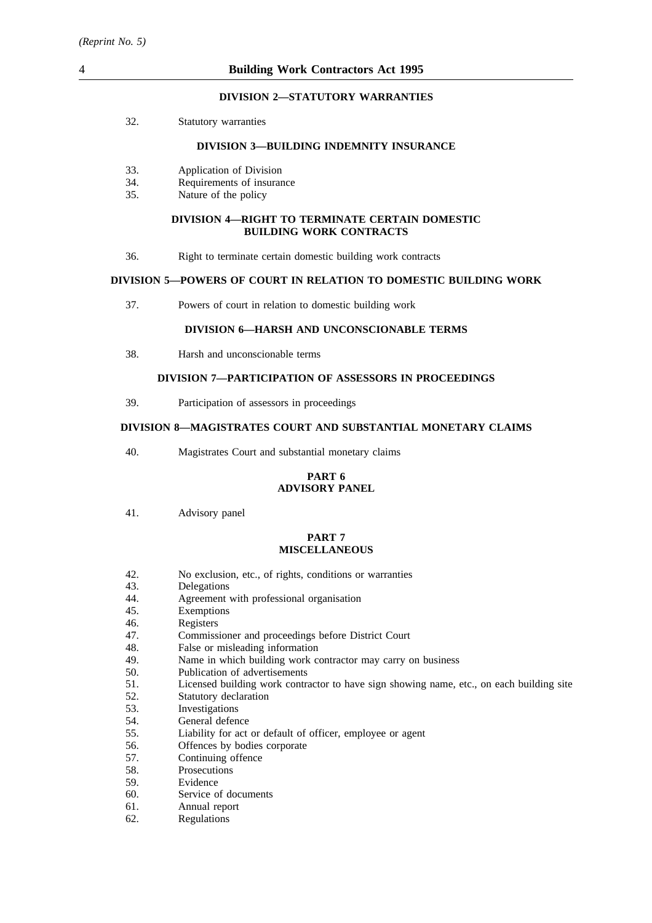#### **DIVISION 2—STATUTORY WARRANTIES**

32. Statutory warranties

#### **DIVISION 3—BUILDING INDEMNITY INSURANCE**

- 33. Application of Division
- 34. Requirements of insurance
- 35. Nature of the policy

#### **DIVISION 4—RIGHT TO TERMINATE CERTAIN DOMESTIC BUILDING WORK CONTRACTS**

36. Right to terminate certain domestic building work contracts

#### **DIVISION 5—POWERS OF COURT IN RELATION TO DOMESTIC BUILDING WORK**

37. Powers of court in relation to domestic building work

### **DIVISION 6—HARSH AND UNCONSCIONABLE TERMS**

38. Harsh and unconscionable terms

# **DIVISION 7—PARTICIPATION OF ASSESSORS IN PROCEEDINGS**

39. Participation of assessors in proceedings

# **DIVISION 8—MAGISTRATES COURT AND SUBSTANTIAL MONETARY CLAIMS**

40. Magistrates Court and substantial monetary claims

#### **PART 6 ADVISORY PANEL**

41. Advisory panel

#### **PART 7 MISCELLANEOUS**

- 42. No exclusion, etc., of rights, conditions or warranties
- 43. Delegations
- 44. Agreement with professional organisation
- 45. Exemptions
- 46. Registers<br>47. Commiss
- 47. Commissioner and proceedings before District Court 48. False or misleading information
- 48. False or misleading information<br>49. Name in which building work com-
- 49. Name in which building work contractor may carry on business 50. Publication of advertisements
- Publication of advertisements
- 51. Licensed building work contractor to have sign showing name, etc., on each building site
- 52. Statutory declaration
- 53. Investigations
- 54. General defence
- 55. Liability for act or default of officer, employee or agent
- 56. Offences by bodies corporate
- 57. Continuing offence
- 58. Prosecutions
- 59. Evidence
- 60. Service of documents
- 61. Annual report
- 62. Regulations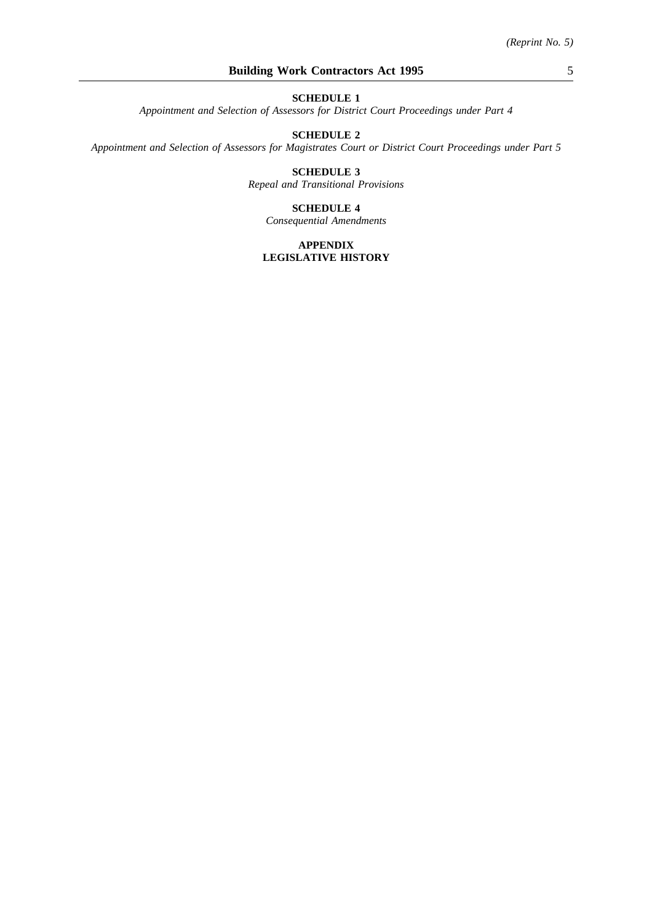*Appointment and Selection of Assessors for District Court Proceedings under Part 4*

# **SCHEDULE 2**

*Appointment and Selection of Assessors for Magistrates Court or District Court Proceedings under Part 5*

## **SCHEDULE 3** *Repeal and Transitional Provisions*

#### **SCHEDULE 4**

*Consequential Amendments*

## **APPENDIX LEGISLATIVE HISTORY**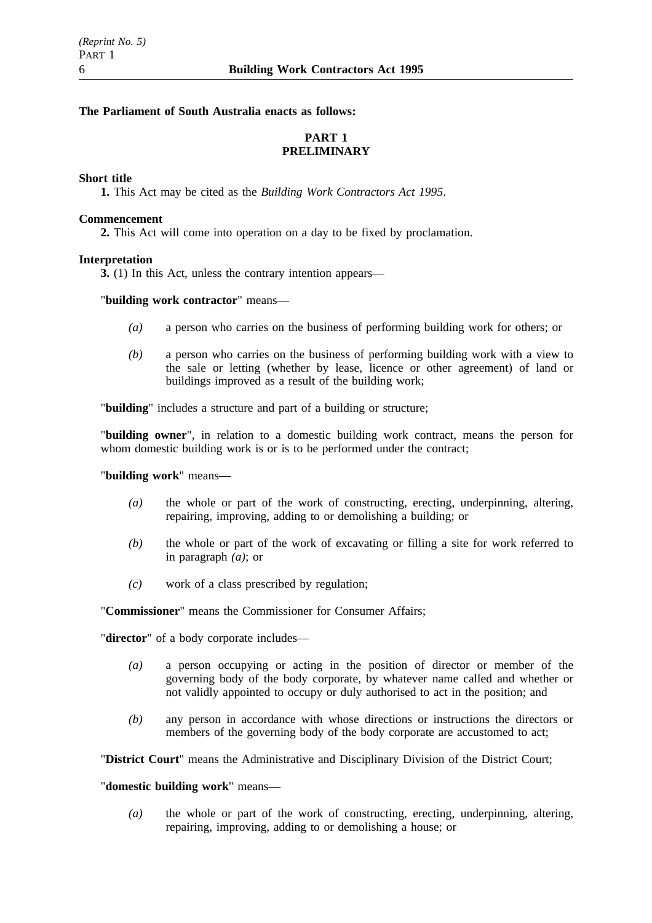# **The Parliament of South Australia enacts as follows:**

# **PART 1 PRELIMINARY**

# **Short title**

**1.** This Act may be cited as the *Building Work Contractors Act 1995*.

# **Commencement**

**2.** This Act will come into operation on a day to be fixed by proclamation.

# **Interpretation**

**3.** (1) In this Act, unless the contrary intention appears—

# "**building work contractor**" means—

- *(a)* a person who carries on the business of performing building work for others; or
- *(b)* a person who carries on the business of performing building work with a view to the sale or letting (whether by lease, licence or other agreement) of land or buildings improved as a result of the building work;

"**building**" includes a structure and part of a building or structure;

"**building owner**", in relation to a domestic building work contract, means the person for whom domestic building work is or is to be performed under the contract;

"**building work**" means—

- *(a)* the whole or part of the work of constructing, erecting, underpinning, altering, repairing, improving, adding to or demolishing a building; or
- *(b)* the whole or part of the work of excavating or filling a site for work referred to in paragraph *(a)*; or
- *(c)* work of a class prescribed by regulation;

"**Commissioner**" means the Commissioner for Consumer Affairs;

"**director**" of a body corporate includes—

- *(a)* a person occupying or acting in the position of director or member of the governing body of the body corporate, by whatever name called and whether or not validly appointed to occupy or duly authorised to act in the position; and
- *(b)* any person in accordance with whose directions or instructions the directors or members of the governing body of the body corporate are accustomed to act;

"**District Court**" means the Administrative and Disciplinary Division of the District Court;

# "**domestic building work**" means—

*(a)* the whole or part of the work of constructing, erecting, underpinning, altering, repairing, improving, adding to or demolishing a house; or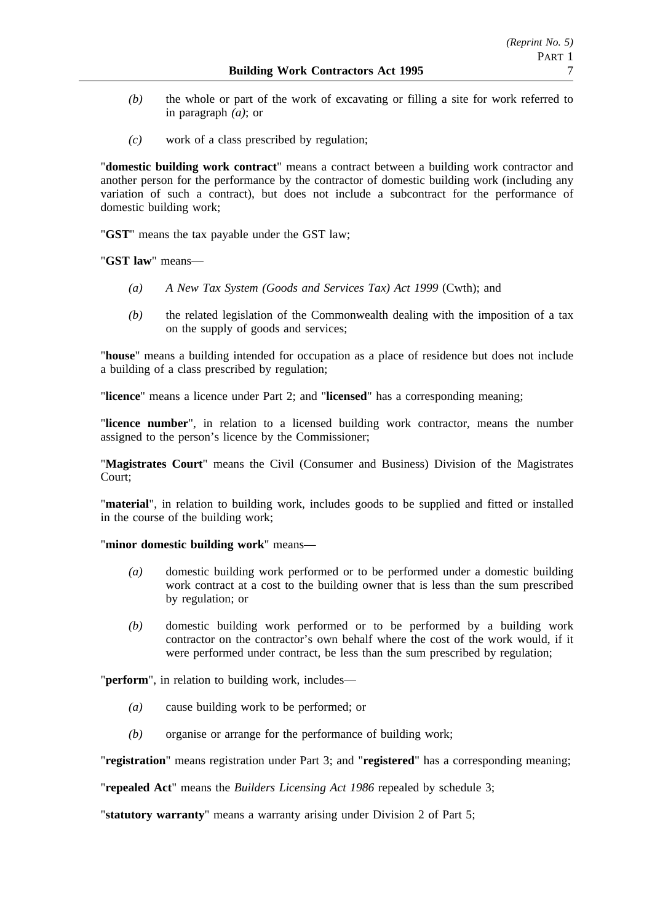- *(b)* the whole or part of the work of excavating or filling a site for work referred to in paragraph *(a)*; or
- *(c)* work of a class prescribed by regulation;

"**domestic building work contract**" means a contract between a building work contractor and another person for the performance by the contractor of domestic building work (including any variation of such a contract), but does not include a subcontract for the performance of domestic building work;

"**GST**" means the tax payable under the GST law;

"**GST law**" means—

- *(a) A New Tax System (Goods and Services Tax) Act 1999* (Cwth); and
- *(b)* the related legislation of the Commonwealth dealing with the imposition of a tax on the supply of goods and services;

"**house**" means a building intended for occupation as a place of residence but does not include a building of a class prescribed by regulation;

"**licence**" means a licence under Part 2; and "**licensed**" has a corresponding meaning;

"**licence number**", in relation to a licensed building work contractor, means the number assigned to the person's licence by the Commissioner;

"**Magistrates Court**" means the Civil (Consumer and Business) Division of the Magistrates Court;

"**material**", in relation to building work, includes goods to be supplied and fitted or installed in the course of the building work;

"**minor domestic building work**" means—

- *(a)* domestic building work performed or to be performed under a domestic building work contract at a cost to the building owner that is less than the sum prescribed by regulation; or
- *(b)* domestic building work performed or to be performed by a building work contractor on the contractor's own behalf where the cost of the work would, if it were performed under contract, be less than the sum prescribed by regulation;

"**perform**", in relation to building work, includes—

- *(a)* cause building work to be performed; or
- *(b)* organise or arrange for the performance of building work;

"**registration**" means registration under Part 3; and "**registered**" has a corresponding meaning;

"**repealed Act**" means the *Builders Licensing Act 1986* repealed by schedule 3;

"**statutory warranty**" means a warranty arising under Division 2 of Part 5;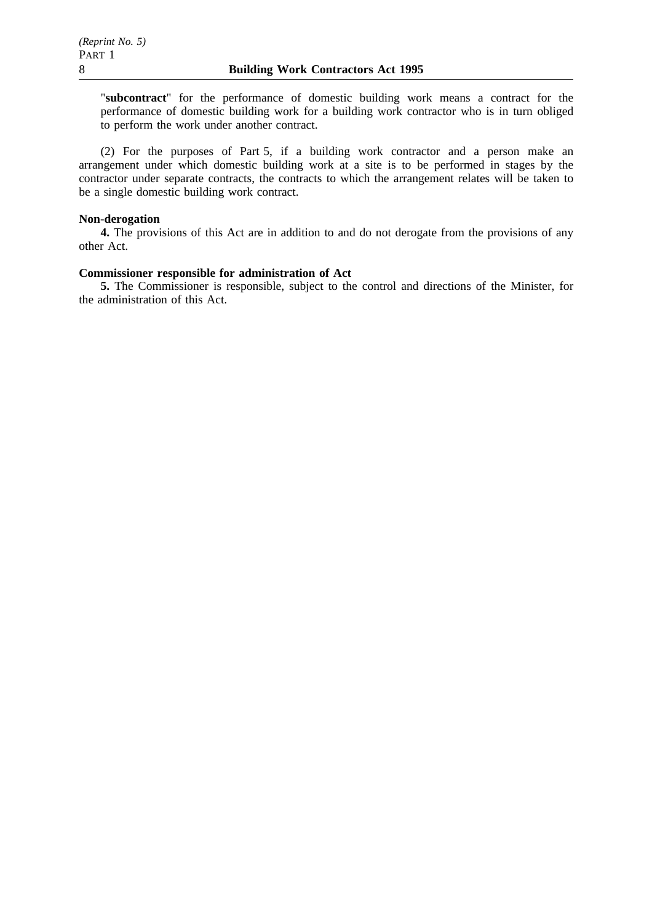"**subcontract**" for the performance of domestic building work means a contract for the performance of domestic building work for a building work contractor who is in turn obliged to perform the work under another contract.

(2) For the purposes of Part 5, if a building work contractor and a person make an arrangement under which domestic building work at a site is to be performed in stages by the contractor under separate contracts, the contracts to which the arrangement relates will be taken to be a single domestic building work contract.

#### **Non-derogation**

**4.** The provisions of this Act are in addition to and do not derogate from the provisions of any other Act.

# **Commissioner responsible for administration of Act**

**5.** The Commissioner is responsible, subject to the control and directions of the Minister, for the administration of this Act.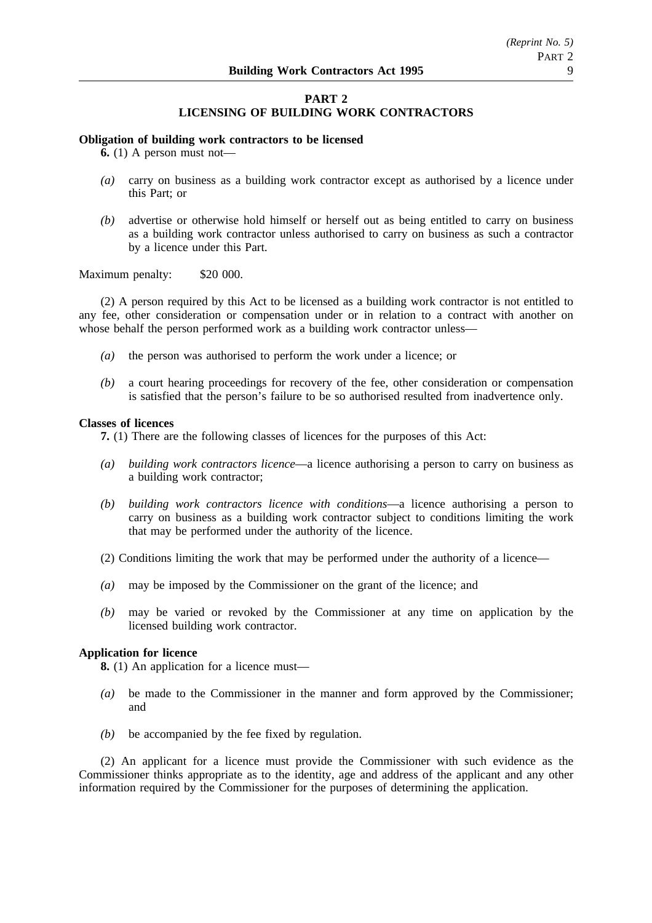# **PART 2 LICENSING OF BUILDING WORK CONTRACTORS**

# **Obligation of building work contractors to be licensed**

**6.** (1) A person must not—

- *(a)* carry on business as a building work contractor except as authorised by a licence under this Part; or
- *(b)* advertise or otherwise hold himself or herself out as being entitled to carry on business as a building work contractor unless authorised to carry on business as such a contractor by a licence under this Part.

# Maximum penalty: \$20 000.

(2) A person required by this Act to be licensed as a building work contractor is not entitled to any fee, other consideration or compensation under or in relation to a contract with another on whose behalf the person performed work as a building work contractor unless—

- *(a)* the person was authorised to perform the work under a licence; or
- *(b)* a court hearing proceedings for recovery of the fee, other consideration or compensation is satisfied that the person's failure to be so authorised resulted from inadvertence only.

#### **Classes of licences**

**7.** (1) There are the following classes of licences for the purposes of this Act:

- *(a) building work contractors licence*—a licence authorising a person to carry on business as a building work contractor;
- *(b) building work contractors licence with conditions*—a licence authorising a person to carry on business as a building work contractor subject to conditions limiting the work that may be performed under the authority of the licence.
- (2) Conditions limiting the work that may be performed under the authority of a licence—
- *(a)* may be imposed by the Commissioner on the grant of the licence; and
- *(b)* may be varied or revoked by the Commissioner at any time on application by the licensed building work contractor.

# **Application for licence**

**8.** (1) An application for a licence must—

- *(a)* be made to the Commissioner in the manner and form approved by the Commissioner; and
- *(b)* be accompanied by the fee fixed by regulation.

(2) An applicant for a licence must provide the Commissioner with such evidence as the Commissioner thinks appropriate as to the identity, age and address of the applicant and any other information required by the Commissioner for the purposes of determining the application.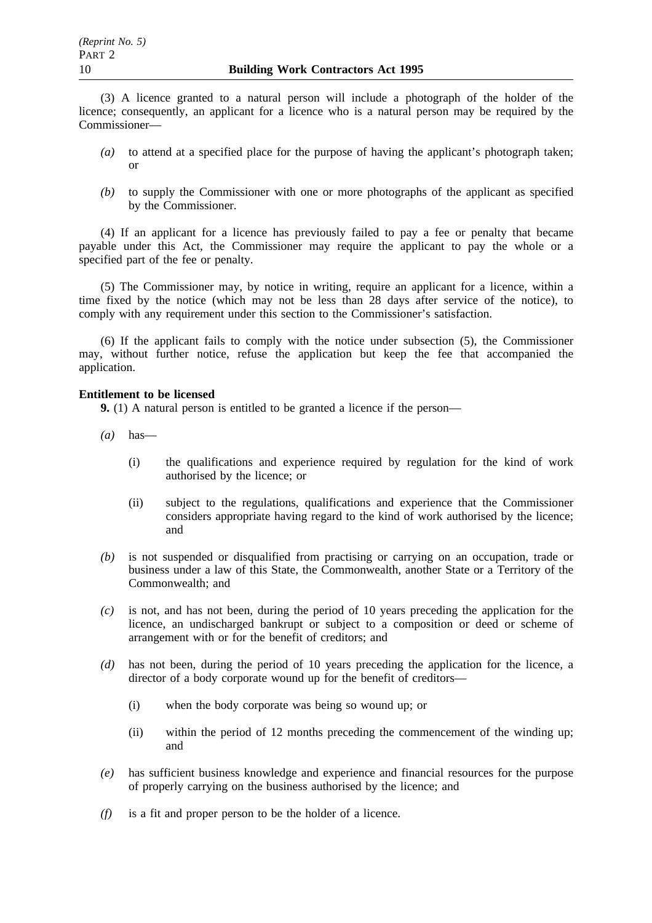(3) A licence granted to a natural person will include a photograph of the holder of the licence; consequently, an applicant for a licence who is a natural person may be required by the Commissioner—

- *(a)* to attend at a specified place for the purpose of having the applicant's photograph taken; or
- *(b)* to supply the Commissioner with one or more photographs of the applicant as specified by the Commissioner.

(4) If an applicant for a licence has previously failed to pay a fee or penalty that became payable under this Act, the Commissioner may require the applicant to pay the whole or a specified part of the fee or penalty.

(5) The Commissioner may, by notice in writing, require an applicant for a licence, within a time fixed by the notice (which may not be less than 28 days after service of the notice), to comply with any requirement under this section to the Commissioner's satisfaction.

(6) If the applicant fails to comply with the notice under subsection (5), the Commissioner may, without further notice, refuse the application but keep the fee that accompanied the application.

# **Entitlement to be licensed**

**9.** (1) A natural person is entitled to be granted a licence if the person—

- *(a)* has—
	- (i) the qualifications and experience required by regulation for the kind of work authorised by the licence; or
	- (ii) subject to the regulations, qualifications and experience that the Commissioner considers appropriate having regard to the kind of work authorised by the licence; and
- *(b)* is not suspended or disqualified from practising or carrying on an occupation, trade or business under a law of this State, the Commonwealth, another State or a Territory of the Commonwealth; and
- *(c)* is not, and has not been, during the period of 10 years preceding the application for the licence, an undischarged bankrupt or subject to a composition or deed or scheme of arrangement with or for the benefit of creditors; and
- *(d)* has not been, during the period of 10 years preceding the application for the licence, a director of a body corporate wound up for the benefit of creditors—
	- (i) when the body corporate was being so wound up; or
	- (ii) within the period of 12 months preceding the commencement of the winding up; and
- *(e)* has sufficient business knowledge and experience and financial resources for the purpose of properly carrying on the business authorised by the licence; and
- *(f)* is a fit and proper person to be the holder of a licence.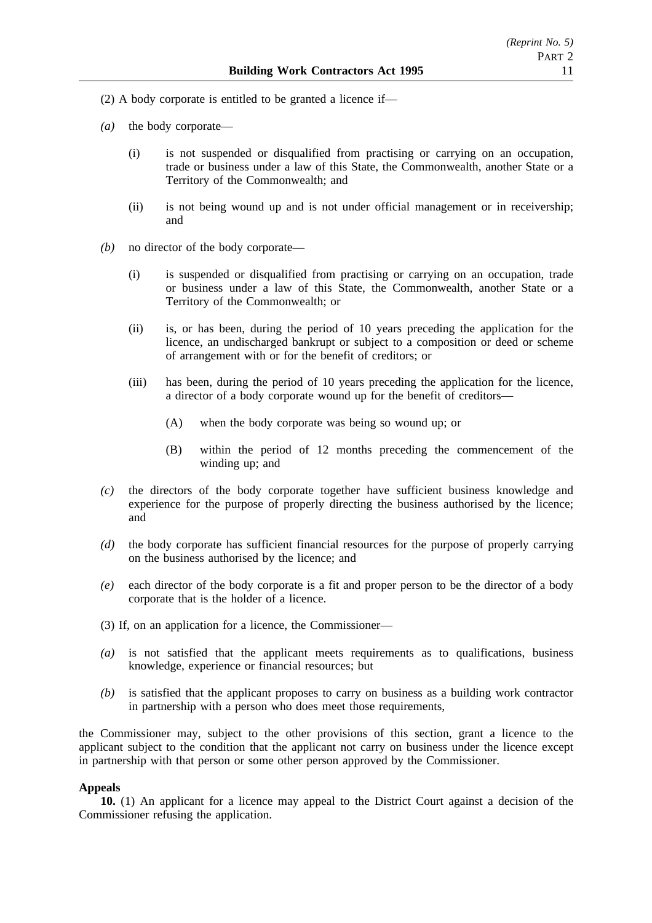- (2) A body corporate is entitled to be granted a licence if—
- *(a)* the body corporate—
	- (i) is not suspended or disqualified from practising or carrying on an occupation, trade or business under a law of this State, the Commonwealth, another State or a Territory of the Commonwealth; and
	- (ii) is not being wound up and is not under official management or in receivership; and
- *(b)* no director of the body corporate—
	- (i) is suspended or disqualified from practising or carrying on an occupation, trade or business under a law of this State, the Commonwealth, another State or a Territory of the Commonwealth; or
	- (ii) is, or has been, during the period of 10 years preceding the application for the licence, an undischarged bankrupt or subject to a composition or deed or scheme of arrangement with or for the benefit of creditors; or
	- (iii) has been, during the period of 10 years preceding the application for the licence, a director of a body corporate wound up for the benefit of creditors—
		- (A) when the body corporate was being so wound up; or
		- (B) within the period of 12 months preceding the commencement of the winding up; and
- *(c)* the directors of the body corporate together have sufficient business knowledge and experience for the purpose of properly directing the business authorised by the licence; and
- *(d)* the body corporate has sufficient financial resources for the purpose of properly carrying on the business authorised by the licence; and
- *(e)* each director of the body corporate is a fit and proper person to be the director of a body corporate that is the holder of a licence.
- (3) If, on an application for a licence, the Commissioner—
- *(a)* is not satisfied that the applicant meets requirements as to qualifications, business knowledge, experience or financial resources; but
- *(b)* is satisfied that the applicant proposes to carry on business as a building work contractor in partnership with a person who does meet those requirements,

the Commissioner may, subject to the other provisions of this section, grant a licence to the applicant subject to the condition that the applicant not carry on business under the licence except in partnership with that person or some other person approved by the Commissioner.

# **Appeals**

**10.** (1) An applicant for a licence may appeal to the District Court against a decision of the Commissioner refusing the application.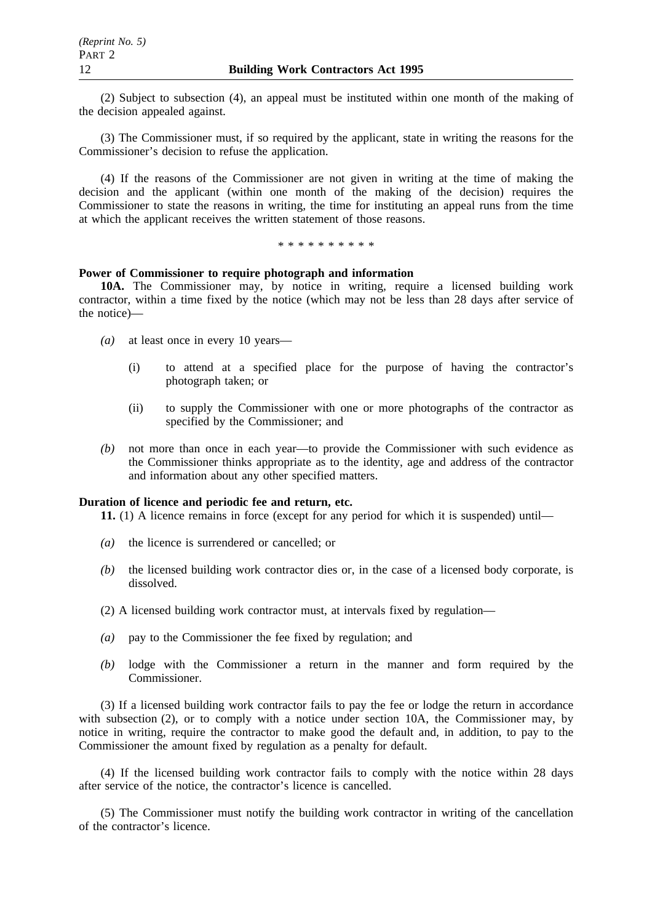(2) Subject to subsection (4), an appeal must be instituted within one month of the making of the decision appealed against.

(3) The Commissioner must, if so required by the applicant, state in writing the reasons for the Commissioner's decision to refuse the application.

(4) If the reasons of the Commissioner are not given in writing at the time of making the decision and the applicant (within one month of the making of the decision) requires the Commissioner to state the reasons in writing, the time for instituting an appeal runs from the time at which the applicant receives the written statement of those reasons.

\*\*\*\*\*\*\*\*\*\*

# **Power of Commissioner to require photograph and information**

**10A.** The Commissioner may, by notice in writing, require a licensed building work contractor, within a time fixed by the notice (which may not be less than 28 days after service of the notice)—

- *(a)* at least once in every 10 years—
	- (i) to attend at a specified place for the purpose of having the contractor's photograph taken; or
	- (ii) to supply the Commissioner with one or more photographs of the contractor as specified by the Commissioner; and
- *(b)* not more than once in each year—to provide the Commissioner with such evidence as the Commissioner thinks appropriate as to the identity, age and address of the contractor and information about any other specified matters.

# **Duration of licence and periodic fee and return, etc.**

**11.** (1) A licence remains in force (except for any period for which it is suspended) until—

- *(a)* the licence is surrendered or cancelled; or
- *(b)* the licensed building work contractor dies or, in the case of a licensed body corporate, is dissolved.
- (2) A licensed building work contractor must, at intervals fixed by regulation—
- *(a)* pay to the Commissioner the fee fixed by regulation; and
- *(b)* lodge with the Commissioner a return in the manner and form required by the Commissioner.

(3) If a licensed building work contractor fails to pay the fee or lodge the return in accordance with subsection (2), or to comply with a notice under section 10A, the Commissioner may, by notice in writing, require the contractor to make good the default and, in addition, to pay to the Commissioner the amount fixed by regulation as a penalty for default.

(4) If the licensed building work contractor fails to comply with the notice within 28 days after service of the notice, the contractor's licence is cancelled.

(5) The Commissioner must notify the building work contractor in writing of the cancellation of the contractor's licence.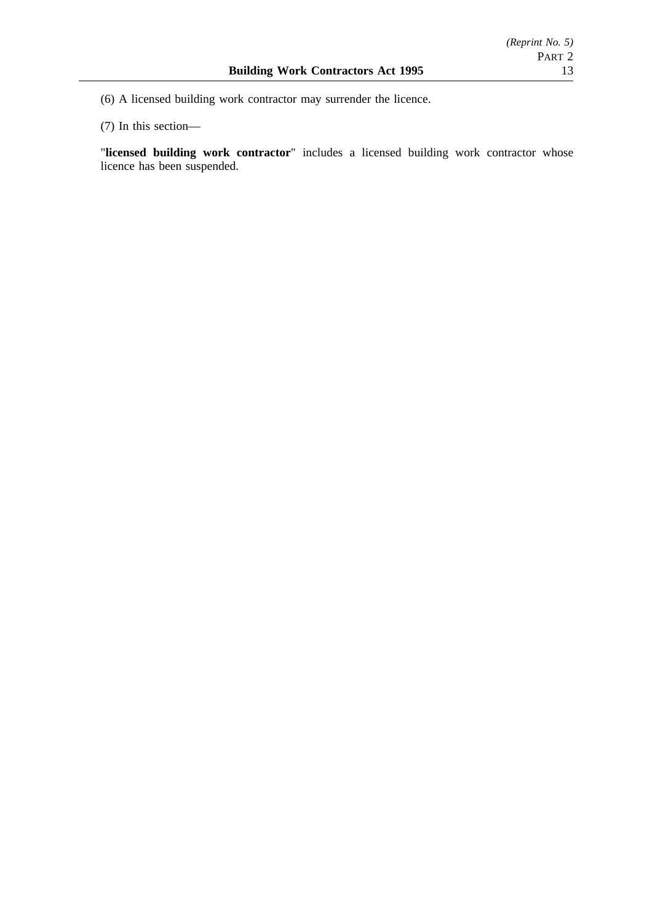(6) A licensed building work contractor may surrender the licence.

(7) In this section—

"**licensed building work contractor**" includes a licensed building work contractor whose licence has been suspended.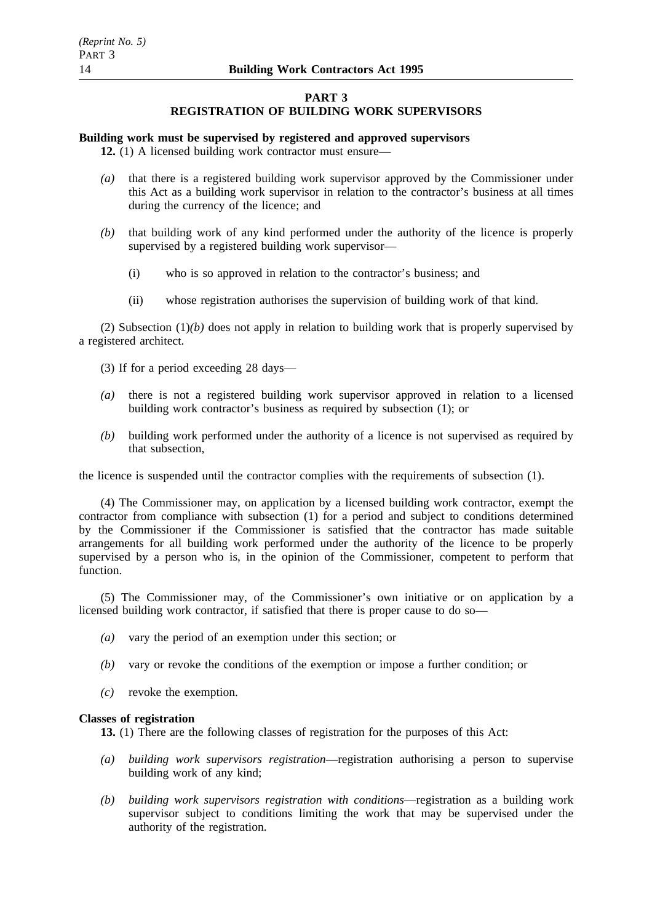# **PART 3**

# **REGISTRATION OF BUILDING WORK SUPERVISORS**

# **Building work must be supervised by registered and approved supervisors**

**12.** (1) A licensed building work contractor must ensure—

- *(a)* that there is a registered building work supervisor approved by the Commissioner under this Act as a building work supervisor in relation to the contractor's business at all times during the currency of the licence; and
- *(b)* that building work of any kind performed under the authority of the licence is properly supervised by a registered building work supervisor—
	- (i) who is so approved in relation to the contractor's business; and
	- (ii) whose registration authorises the supervision of building work of that kind.

(2) Subsection  $(1)(b)$  does not apply in relation to building work that is properly supervised by a registered architect.

- (3) If for a period exceeding 28 days—
- *(a)* there is not a registered building work supervisor approved in relation to a licensed building work contractor's business as required by subsection (1); or
- *(b)* building work performed under the authority of a licence is not supervised as required by that subsection,

the licence is suspended until the contractor complies with the requirements of subsection (1).

(4) The Commissioner may, on application by a licensed building work contractor, exempt the contractor from compliance with subsection (1) for a period and subject to conditions determined by the Commissioner if the Commissioner is satisfied that the contractor has made suitable arrangements for all building work performed under the authority of the licence to be properly supervised by a person who is, in the opinion of the Commissioner, competent to perform that function.

(5) The Commissioner may, of the Commissioner's own initiative or on application by a licensed building work contractor, if satisfied that there is proper cause to do so—

- *(a)* vary the period of an exemption under this section; or
- *(b)* vary or revoke the conditions of the exemption or impose a further condition; or
- *(c)* revoke the exemption.

#### **Classes of registration**

**13.** (1) There are the following classes of registration for the purposes of this Act:

- *(a) building work supervisors registration*—registration authorising a person to supervise building work of any kind;
- *(b) building work supervisors registration with conditions*—registration as a building work supervisor subject to conditions limiting the work that may be supervised under the authority of the registration.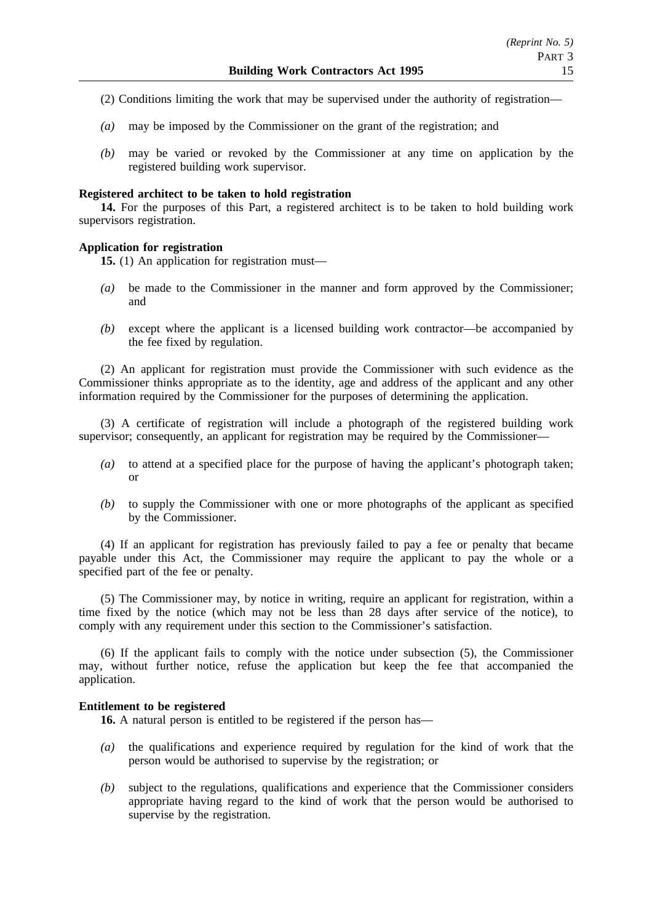- (2) Conditions limiting the work that may be supervised under the authority of registration—
- *(a)* may be imposed by the Commissioner on the grant of the registration; and
- *(b)* may be varied or revoked by the Commissioner at any time on application by the registered building work supervisor.

# **Registered architect to be taken to hold registration**

**14.** For the purposes of this Part, a registered architect is to be taken to hold building work supervisors registration.

# **Application for registration**

**15.** (1) An application for registration must—

- *(a)* be made to the Commissioner in the manner and form approved by the Commissioner; and
- *(b)* except where the applicant is a licensed building work contractor—be accompanied by the fee fixed by regulation.

(2) An applicant for registration must provide the Commissioner with such evidence as the Commissioner thinks appropriate as to the identity, age and address of the applicant and any other information required by the Commissioner for the purposes of determining the application.

(3) A certificate of registration will include a photograph of the registered building work supervisor; consequently, an applicant for registration may be required by the Commissioner—

- *(a)* to attend at a specified place for the purpose of having the applicant's photograph taken; or
- *(b)* to supply the Commissioner with one or more photographs of the applicant as specified by the Commissioner.

(4) If an applicant for registration has previously failed to pay a fee or penalty that became payable under this Act, the Commissioner may require the applicant to pay the whole or a specified part of the fee or penalty.

(5) The Commissioner may, by notice in writing, require an applicant for registration, within a time fixed by the notice (which may not be less than 28 days after service of the notice), to comply with any requirement under this section to the Commissioner's satisfaction.

(6) If the applicant fails to comply with the notice under subsection (5), the Commissioner may, without further notice, refuse the application but keep the fee that accompanied the application.

# **Entitlement to be registered**

**16.** A natural person is entitled to be registered if the person has—

- *(a)* the qualifications and experience required by regulation for the kind of work that the person would be authorised to supervise by the registration; or
- *(b)* subject to the regulations, qualifications and experience that the Commissioner considers appropriate having regard to the kind of work that the person would be authorised to supervise by the registration.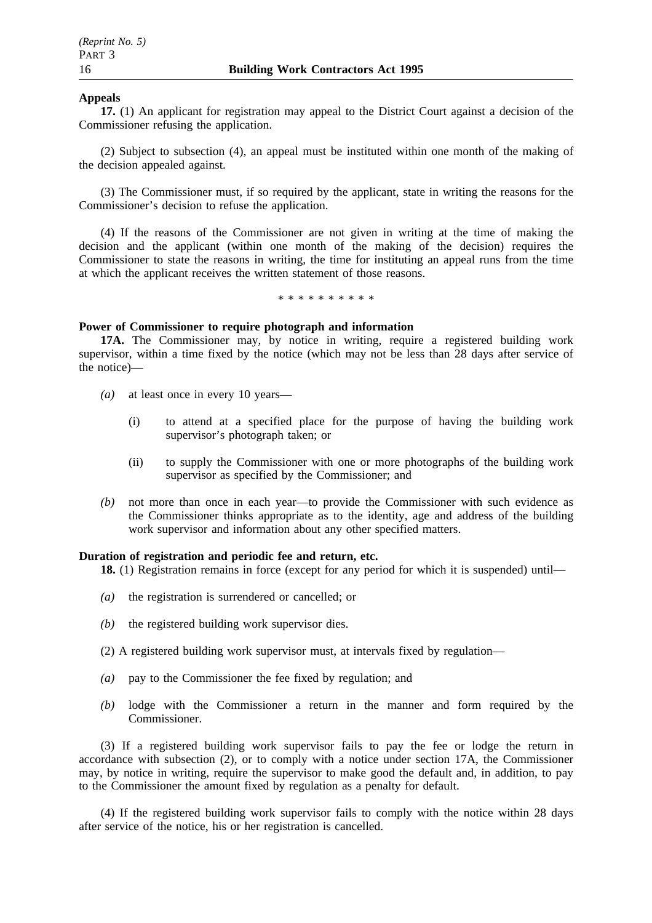# **Appeals**

**17.** (1) An applicant for registration may appeal to the District Court against a decision of the Commissioner refusing the application.

(2) Subject to subsection (4), an appeal must be instituted within one month of the making of the decision appealed against.

(3) The Commissioner must, if so required by the applicant, state in writing the reasons for the Commissioner's decision to refuse the application.

(4) If the reasons of the Commissioner are not given in writing at the time of making the decision and the applicant (within one month of the making of the decision) requires the Commissioner to state the reasons in writing, the time for instituting an appeal runs from the time at which the applicant receives the written statement of those reasons.

\*\*\*\*\*\*\*\*\*\*

#### **Power of Commissioner to require photograph and information**

**17A.** The Commissioner may, by notice in writing, require a registered building work supervisor, within a time fixed by the notice (which may not be less than 28 days after service of the notice)—

- *(a)* at least once in every 10 years—
	- (i) to attend at a specified place for the purpose of having the building work supervisor's photograph taken; or
	- (ii) to supply the Commissioner with one or more photographs of the building work supervisor as specified by the Commissioner; and
- *(b)* not more than once in each year—to provide the Commissioner with such evidence as the Commissioner thinks appropriate as to the identity, age and address of the building work supervisor and information about any other specified matters.

# **Duration of registration and periodic fee and return, etc.**

**18.** (1) Registration remains in force (except for any period for which it is suspended) until—

- *(a)* the registration is surrendered or cancelled; or
- *(b)* the registered building work supervisor dies.
- (2) A registered building work supervisor must, at intervals fixed by regulation—
- *(a)* pay to the Commissioner the fee fixed by regulation; and
- *(b)* lodge with the Commissioner a return in the manner and form required by the Commissioner.

(3) If a registered building work supervisor fails to pay the fee or lodge the return in accordance with subsection (2), or to comply with a notice under section 17A, the Commissioner may, by notice in writing, require the supervisor to make good the default and, in addition, to pay to the Commissioner the amount fixed by regulation as a penalty for default.

(4) If the registered building work supervisor fails to comply with the notice within 28 days after service of the notice, his or her registration is cancelled.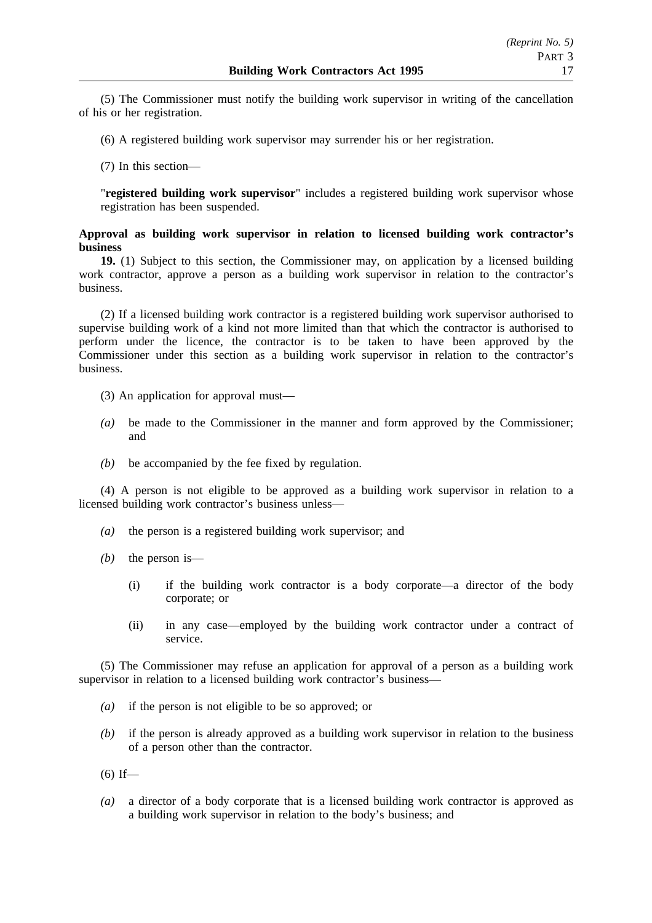(5) The Commissioner must notify the building work supervisor in writing of the cancellation of his or her registration.

(6) A registered building work supervisor may surrender his or her registration.

(7) In this section—

"**registered building work supervisor**" includes a registered building work supervisor whose registration has been suspended.

# **Approval as building work supervisor in relation to licensed building work contractor's business**

**19.** (1) Subject to this section, the Commissioner may, on application by a licensed building work contractor, approve a person as a building work supervisor in relation to the contractor's business.

(2) If a licensed building work contractor is a registered building work supervisor authorised to supervise building work of a kind not more limited than that which the contractor is authorised to perform under the licence, the contractor is to be taken to have been approved by the Commissioner under this section as a building work supervisor in relation to the contractor's business.

- (3) An application for approval must—
- *(a)* be made to the Commissioner in the manner and form approved by the Commissioner; and
- *(b)* be accompanied by the fee fixed by regulation.

(4) A person is not eligible to be approved as a building work supervisor in relation to a licensed building work contractor's business unless—

- *(a)* the person is a registered building work supervisor; and
- *(b)* the person is—
	- (i) if the building work contractor is a body corporate—a director of the body corporate; or
	- (ii) in any case—employed by the building work contractor under a contract of service.

(5) The Commissioner may refuse an application for approval of a person as a building work supervisor in relation to a licensed building work contractor's business—

- *(a)* if the person is not eligible to be so approved; or
- *(b)* if the person is already approved as a building work supervisor in relation to the business of a person other than the contractor.

 $(6)$  If—

*(a)* a director of a body corporate that is a licensed building work contractor is approved as a building work supervisor in relation to the body's business; and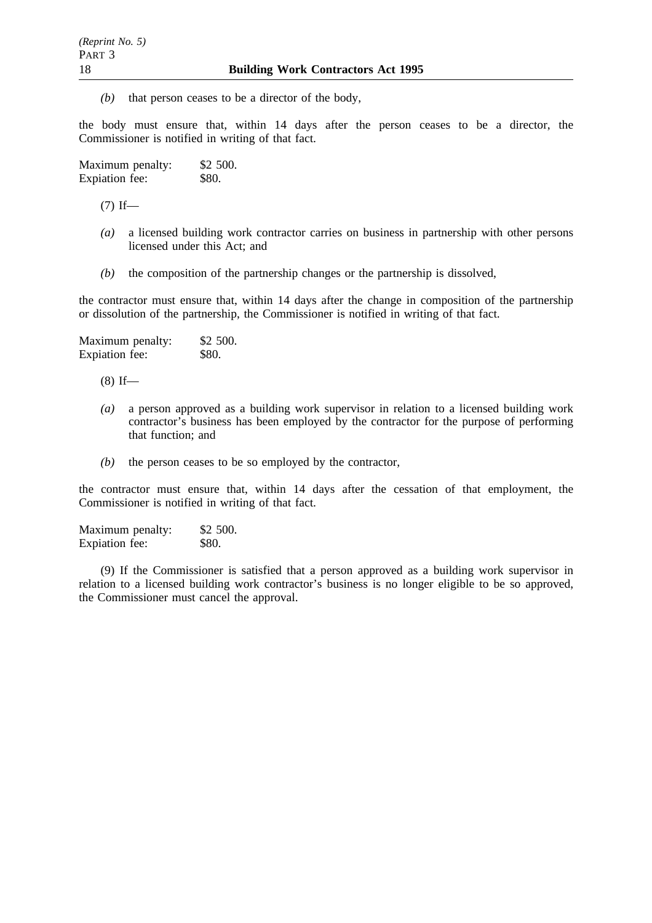*(b)* that person ceases to be a director of the body,

the body must ensure that, within 14 days after the person ceases to be a director, the Commissioner is notified in writing of that fact.

| Maximum penalty: | \$2 500. |
|------------------|----------|
| Expiation fee:   | \$80.    |

 $(7)$  If—

- *(a)* a licensed building work contractor carries on business in partnership with other persons licensed under this Act; and
- *(b)* the composition of the partnership changes or the partnership is dissolved,

the contractor must ensure that, within 14 days after the change in composition of the partnership or dissolution of the partnership, the Commissioner is notified in writing of that fact.

Maximum penalty: \$2 500. Expiation fee: \$80.

 $(8)$  If—

- *(a)* a person approved as a building work supervisor in relation to a licensed building work contractor's business has been employed by the contractor for the purpose of performing that function; and
- *(b)* the person ceases to be so employed by the contractor,

the contractor must ensure that, within 14 days after the cessation of that employment, the Commissioner is notified in writing of that fact.

Maximum penalty: \$2 500. Expiation fee: \$80.

(9) If the Commissioner is satisfied that a person approved as a building work supervisor in relation to a licensed building work contractor's business is no longer eligible to be so approved, the Commissioner must cancel the approval.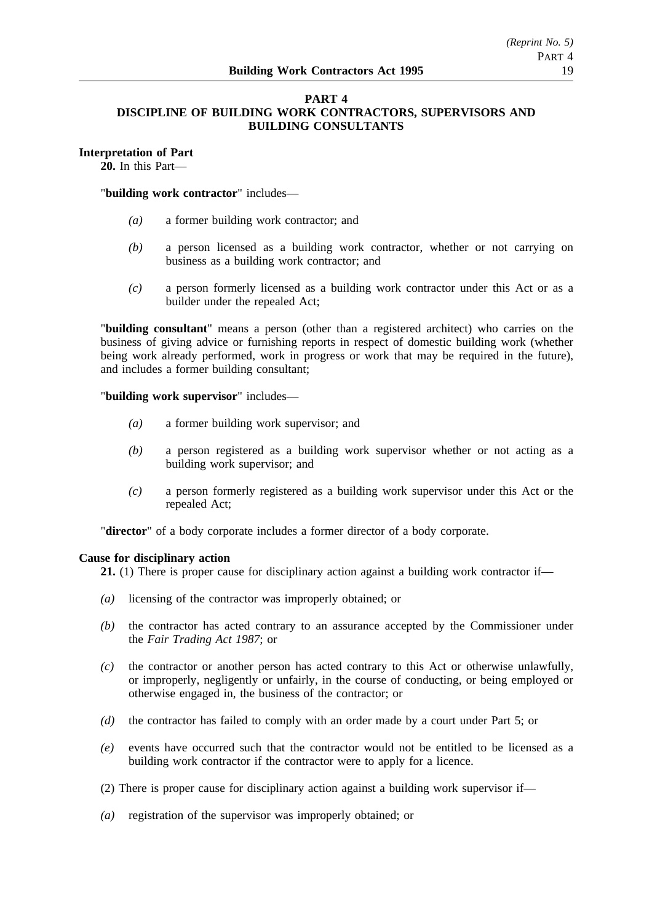# **PART 4 DISCIPLINE OF BUILDING WORK CONTRACTORS, SUPERVISORS AND BUILDING CONSULTANTS**

# **Interpretation of Part**

**20.** In this Part—

"**building work contractor**" includes—

- *(a)* a former building work contractor; and
- *(b)* a person licensed as a building work contractor, whether or not carrying on business as a building work contractor; and
- *(c)* a person formerly licensed as a building work contractor under this Act or as a builder under the repealed Act;

"**building consultant**" means a person (other than a registered architect) who carries on the business of giving advice or furnishing reports in respect of domestic building work (whether being work already performed, work in progress or work that may be required in the future), and includes a former building consultant;

"**building work supervisor**" includes—

- *(a)* a former building work supervisor; and
- *(b)* a person registered as a building work supervisor whether or not acting as a building work supervisor; and
- *(c)* a person formerly registered as a building work supervisor under this Act or the repealed Act;

"**director**" of a body corporate includes a former director of a body corporate.

# **Cause for disciplinary action**

**21.** (1) There is proper cause for disciplinary action against a building work contractor if—

- *(a)* licensing of the contractor was improperly obtained; or
- *(b)* the contractor has acted contrary to an assurance accepted by the Commissioner under the *Fair Trading Act 1987*; or
- *(c)* the contractor or another person has acted contrary to this Act or otherwise unlawfully, or improperly, negligently or unfairly, in the course of conducting, or being employed or otherwise engaged in, the business of the contractor; or
- *(d)* the contractor has failed to comply with an order made by a court under Part 5; or
- *(e)* events have occurred such that the contractor would not be entitled to be licensed as a building work contractor if the contractor were to apply for a licence.
- (2) There is proper cause for disciplinary action against a building work supervisor if—
- *(a)* registration of the supervisor was improperly obtained; or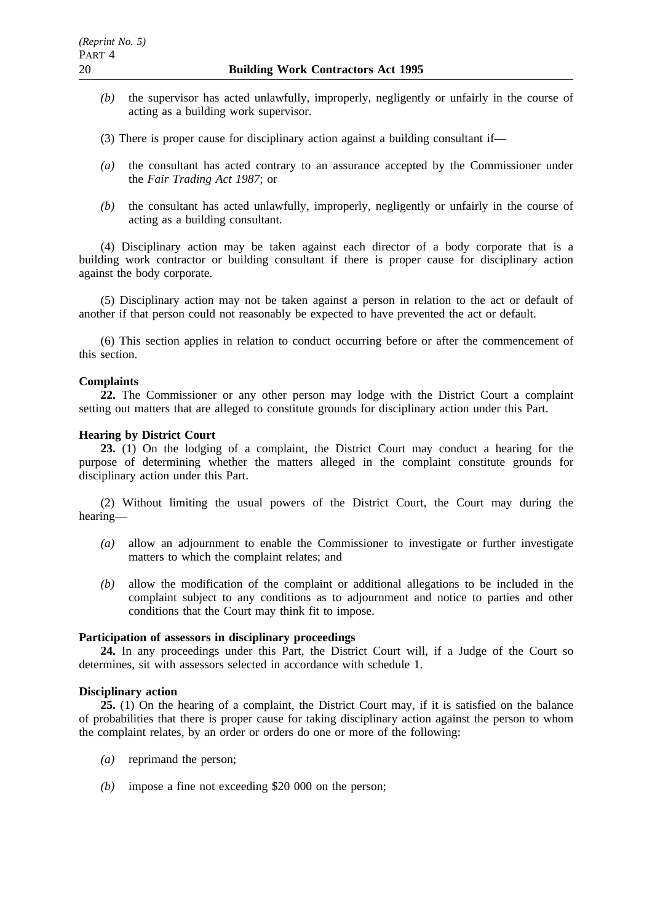- *(b)* the supervisor has acted unlawfully, improperly, negligently or unfairly in the course of acting as a building work supervisor.
- (3) There is proper cause for disciplinary action against a building consultant if—
- *(a)* the consultant has acted contrary to an assurance accepted by the Commissioner under the *Fair Trading Act 1987*; or
- *(b)* the consultant has acted unlawfully, improperly, negligently or unfairly in the course of acting as a building consultant.

(4) Disciplinary action may be taken against each director of a body corporate that is a building work contractor or building consultant if there is proper cause for disciplinary action against the body corporate.

(5) Disciplinary action may not be taken against a person in relation to the act or default of another if that person could not reasonably be expected to have prevented the act or default.

(6) This section applies in relation to conduct occurring before or after the commencement of this section.

# **Complaints**

**22.** The Commissioner or any other person may lodge with the District Court a complaint setting out matters that are alleged to constitute grounds for disciplinary action under this Part.

#### **Hearing by District Court**

**23.** (1) On the lodging of a complaint, the District Court may conduct a hearing for the purpose of determining whether the matters alleged in the complaint constitute grounds for disciplinary action under this Part.

(2) Without limiting the usual powers of the District Court, the Court may during the hearing—

- *(a)* allow an adjournment to enable the Commissioner to investigate or further investigate matters to which the complaint relates; and
- *(b)* allow the modification of the complaint or additional allegations to be included in the complaint subject to any conditions as to adjournment and notice to parties and other conditions that the Court may think fit to impose.

#### **Participation of assessors in disciplinary proceedings**

**24.** In any proceedings under this Part, the District Court will, if a Judge of the Court so determines, sit with assessors selected in accordance with schedule 1.

#### **Disciplinary action**

**25.** (1) On the hearing of a complaint, the District Court may, if it is satisfied on the balance of probabilities that there is proper cause for taking disciplinary action against the person to whom the complaint relates, by an order or orders do one or more of the following:

- *(a)* reprimand the person;
- *(b)* impose a fine not exceeding \$20 000 on the person;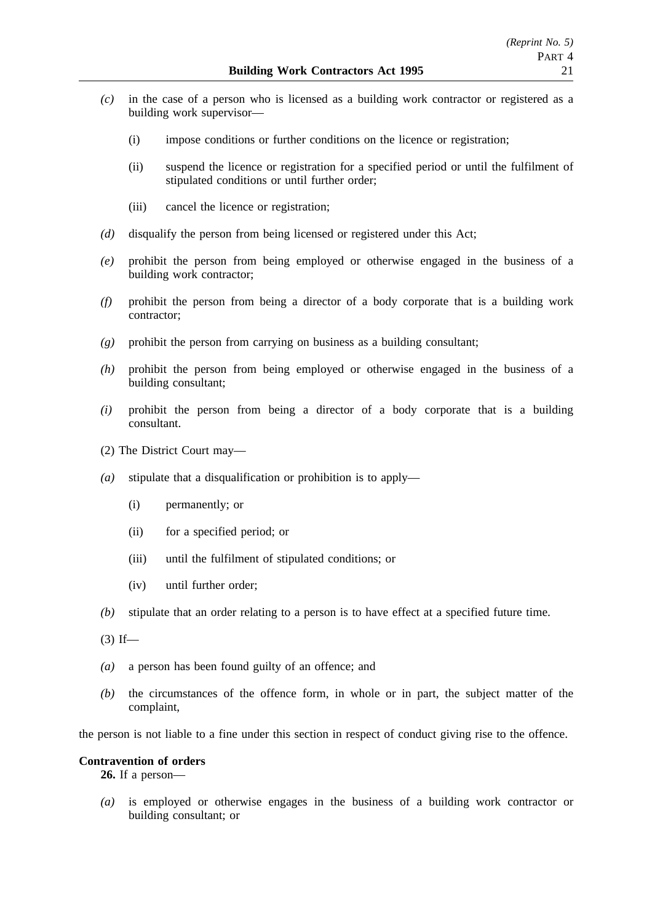- *(c)* in the case of a person who is licensed as a building work contractor or registered as a building work supervisor—
	- (i) impose conditions or further conditions on the licence or registration;
	- (ii) suspend the licence or registration for a specified period or until the fulfilment of stipulated conditions or until further order;
	- (iii) cancel the licence or registration;
- *(d)* disqualify the person from being licensed or registered under this Act;
- *(e)* prohibit the person from being employed or otherwise engaged in the business of a building work contractor;
- *(f)* prohibit the person from being a director of a body corporate that is a building work contractor;
- *(g)* prohibit the person from carrying on business as a building consultant;
- *(h)* prohibit the person from being employed or otherwise engaged in the business of a building consultant;
- *(i)* prohibit the person from being a director of a body corporate that is a building consultant.
- (2) The District Court may—
- *(a)* stipulate that a disqualification or prohibition is to apply—
	- (i) permanently; or
	- (ii) for a specified period; or
	- (iii) until the fulfilment of stipulated conditions; or
	- (iv) until further order;
- *(b)* stipulate that an order relating to a person is to have effect at a specified future time.
- $(3)$  If—
- *(a)* a person has been found guilty of an offence; and
- *(b)* the circumstances of the offence form, in whole or in part, the subject matter of the complaint,

the person is not liable to a fine under this section in respect of conduct giving rise to the offence.

# **Contravention of orders**

**26.** If a person—

*(a)* is employed or otherwise engages in the business of a building work contractor or building consultant; or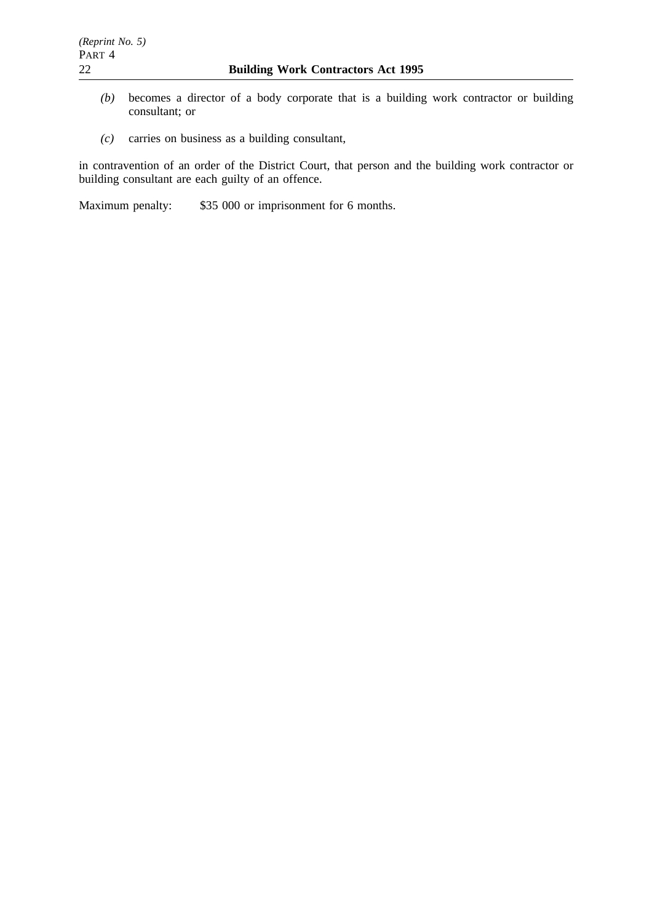- *(b)* becomes a director of a body corporate that is a building work contractor or building consultant; or
- *(c)* carries on business as a building consultant,

in contravention of an order of the District Court, that person and the building work contractor or building consultant are each guilty of an offence.

Maximum penalty: \$35 000 or imprisonment for 6 months.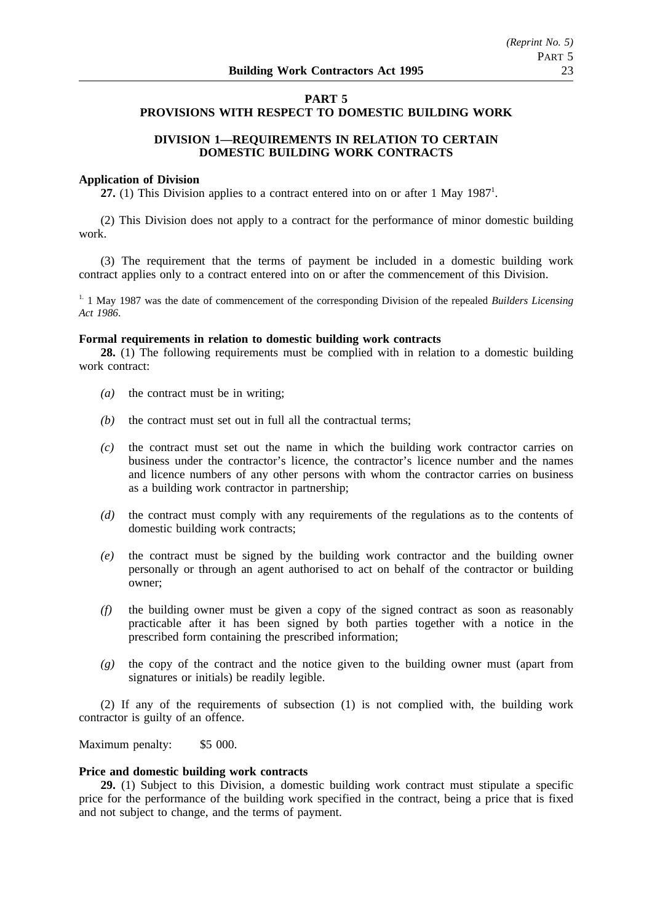# **PART 5 PROVISIONS WITH RESPECT TO DOMESTIC BUILDING WORK**

# **DIVISION 1—REQUIREMENTS IN RELATION TO CERTAIN DOMESTIC BUILDING WORK CONTRACTS**

#### **Application of Division**

27. (1) This Division applies to a contract entered into on or after 1 May 1987<sup>1</sup>.

(2) This Division does not apply to a contract for the performance of minor domestic building work.

(3) The requirement that the terms of payment be included in a domestic building work contract applies only to a contract entered into on or after the commencement of this Division.

<sup>1.</sup> 1 May 1987 was the date of commencement of the corresponding Division of the repealed *Builders Licensing Act 1986*.

#### **Formal requirements in relation to domestic building work contracts**

**28.** (1) The following requirements must be complied with in relation to a domestic building work contract:

- *(a)* the contract must be in writing;
- *(b)* the contract must set out in full all the contractual terms;
- *(c)* the contract must set out the name in which the building work contractor carries on business under the contractor's licence, the contractor's licence number and the names and licence numbers of any other persons with whom the contractor carries on business as a building work contractor in partnership;
- *(d)* the contract must comply with any requirements of the regulations as to the contents of domestic building work contracts;
- *(e)* the contract must be signed by the building work contractor and the building owner personally or through an agent authorised to act on behalf of the contractor or building owner;
- *(f)* the building owner must be given a copy of the signed contract as soon as reasonably practicable after it has been signed by both parties together with a notice in the prescribed form containing the prescribed information;
- *(g)* the copy of the contract and the notice given to the building owner must (apart from signatures or initials) be readily legible.

(2) If any of the requirements of subsection (1) is not complied with, the building work contractor is guilty of an offence.

Maximum penalty: \$5 000.

#### **Price and domestic building work contracts**

**29.** (1) Subject to this Division, a domestic building work contract must stipulate a specific price for the performance of the building work specified in the contract, being a price that is fixed and not subject to change, and the terms of payment.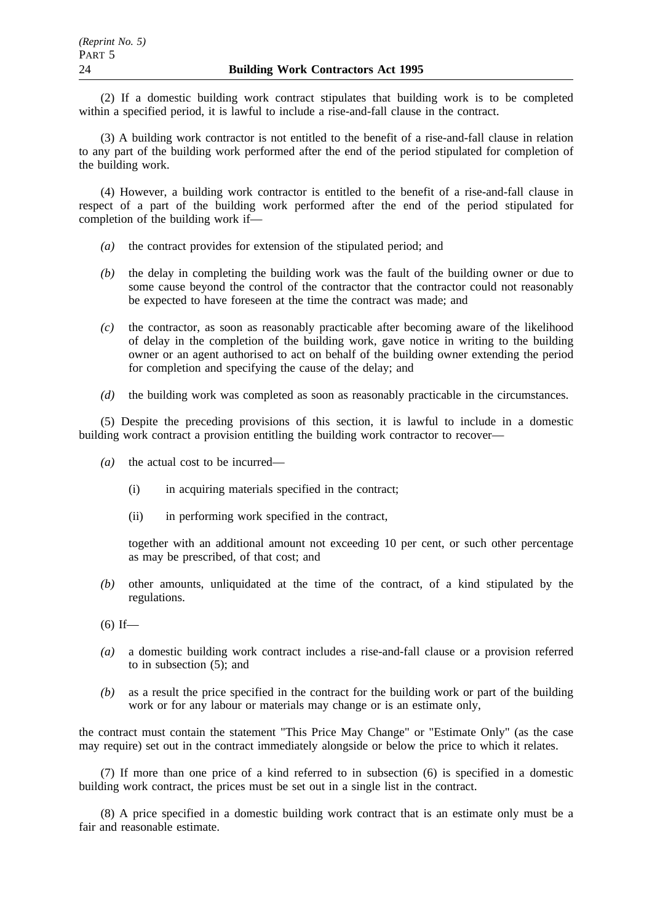(2) If a domestic building work contract stipulates that building work is to be completed within a specified period, it is lawful to include a rise-and-fall clause in the contract.

(3) A building work contractor is not entitled to the benefit of a rise-and-fall clause in relation to any part of the building work performed after the end of the period stipulated for completion of the building work.

(4) However, a building work contractor is entitled to the benefit of a rise-and-fall clause in respect of a part of the building work performed after the end of the period stipulated for completion of the building work if—

- *(a)* the contract provides for extension of the stipulated period; and
- *(b)* the delay in completing the building work was the fault of the building owner or due to some cause beyond the control of the contractor that the contractor could not reasonably be expected to have foreseen at the time the contract was made; and
- *(c)* the contractor, as soon as reasonably practicable after becoming aware of the likelihood of delay in the completion of the building work, gave notice in writing to the building owner or an agent authorised to act on behalf of the building owner extending the period for completion and specifying the cause of the delay; and
- *(d)* the building work was completed as soon as reasonably practicable in the circumstances.

(5) Despite the preceding provisions of this section, it is lawful to include in a domestic building work contract a provision entitling the building work contractor to recover—

- *(a)* the actual cost to be incurred—
	- (i) in acquiring materials specified in the contract;
	- (ii) in performing work specified in the contract,

together with an additional amount not exceeding 10 per cent, or such other percentage as may be prescribed, of that cost; and

- *(b)* other amounts, unliquidated at the time of the contract, of a kind stipulated by the regulations.
- $(6)$  If—
- *(a)* a domestic building work contract includes a rise-and-fall clause or a provision referred to in subsection (5); and
- *(b)* as a result the price specified in the contract for the building work or part of the building work or for any labour or materials may change or is an estimate only,

the contract must contain the statement "This Price May Change" or "Estimate Only" (as the case may require) set out in the contract immediately alongside or below the price to which it relates.

(7) If more than one price of a kind referred to in subsection (6) is specified in a domestic building work contract, the prices must be set out in a single list in the contract.

(8) A price specified in a domestic building work contract that is an estimate only must be a fair and reasonable estimate.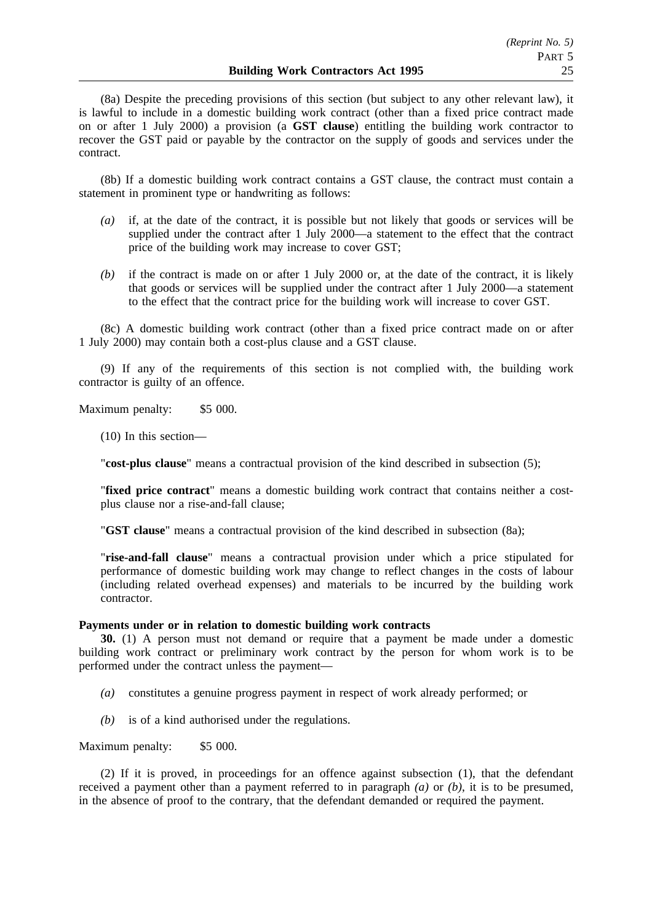(8a) Despite the preceding provisions of this section (but subject to any other relevant law), it is lawful to include in a domestic building work contract (other than a fixed price contract made on or after 1 July 2000) a provision (a **GST clause**) entitling the building work contractor to recover the GST paid or payable by the contractor on the supply of goods and services under the contract.

(8b) If a domestic building work contract contains a GST clause, the contract must contain a statement in prominent type or handwriting as follows:

- *(a)* if, at the date of the contract, it is possible but not likely that goods or services will be supplied under the contract after 1 July 2000—a statement to the effect that the contract price of the building work may increase to cover GST;
- *(b)* if the contract is made on or after 1 July 2000 or, at the date of the contract, it is likely that goods or services will be supplied under the contract after 1 July 2000—a statement to the effect that the contract price for the building work will increase to cover GST.

(8c) A domestic building work contract (other than a fixed price contract made on or after 1 July 2000) may contain both a cost-plus clause and a GST clause.

(9) If any of the requirements of this section is not complied with, the building work contractor is guilty of an offence.

Maximum penalty: \$5 000.

(10) In this section—

"**cost-plus clause**" means a contractual provision of the kind described in subsection (5);

"**fixed price contract**" means a domestic building work contract that contains neither a costplus clause nor a rise-and-fall clause;

"**GST clause**" means a contractual provision of the kind described in subsection (8a);

"**rise-and-fall clause**" means a contractual provision under which a price stipulated for performance of domestic building work may change to reflect changes in the costs of labour (including related overhead expenses) and materials to be incurred by the building work contractor.

#### **Payments under or in relation to domestic building work contracts**

**30.** (1) A person must not demand or require that a payment be made under a domestic building work contract or preliminary work contract by the person for whom work is to be performed under the contract unless the payment—

- *(a)* constitutes a genuine progress payment in respect of work already performed; or
- *(b)* is of a kind authorised under the regulations.

Maximum penalty: \$5 000.

(2) If it is proved, in proceedings for an offence against subsection (1), that the defendant received a payment other than a payment referred to in paragraph *(a)* or *(b)*, it is to be presumed, in the absence of proof to the contrary, that the defendant demanded or required the payment.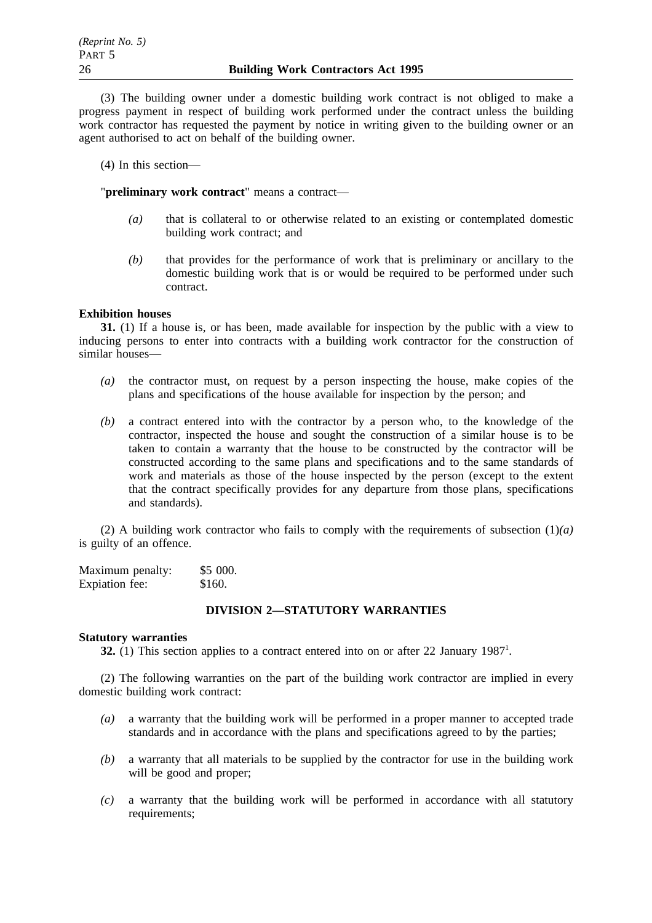(3) The building owner under a domestic building work contract is not obliged to make a progress payment in respect of building work performed under the contract unless the building work contractor has requested the payment by notice in writing given to the building owner or an agent authorised to act on behalf of the building owner.

(4) In this section—

"**preliminary work contract**" means a contract—

- *(a)* that is collateral to or otherwise related to an existing or contemplated domestic building work contract; and
- *(b)* that provides for the performance of work that is preliminary or ancillary to the domestic building work that is or would be required to be performed under such contract.

# **Exhibition houses**

**31.** (1) If a house is, or has been, made available for inspection by the public with a view to inducing persons to enter into contracts with a building work contractor for the construction of similar houses—

- *(a)* the contractor must, on request by a person inspecting the house, make copies of the plans and specifications of the house available for inspection by the person; and
- *(b)* a contract entered into with the contractor by a person who, to the knowledge of the contractor, inspected the house and sought the construction of a similar house is to be taken to contain a warranty that the house to be constructed by the contractor will be constructed according to the same plans and specifications and to the same standards of work and materials as those of the house inspected by the person (except to the extent that the contract specifically provides for any departure from those plans, specifications and standards).

(2) A building work contractor who fails to comply with the requirements of subsection (1)*(a)* is guilty of an offence.

| Maximum penalty: | \$5000. |
|------------------|---------|
| Expiation fee:   | \$160.  |

# **DIVISION 2—STATUTORY WARRANTIES**

# **Statutory warranties**

**32.** (1) This section applies to a contract entered into on or after 22 January 1987<sup>1</sup>.

(2) The following warranties on the part of the building work contractor are implied in every domestic building work contract:

- *(a)* a warranty that the building work will be performed in a proper manner to accepted trade standards and in accordance with the plans and specifications agreed to by the parties;
- *(b)* a warranty that all materials to be supplied by the contractor for use in the building work will be good and proper;
- *(c)* a warranty that the building work will be performed in accordance with all statutory requirements: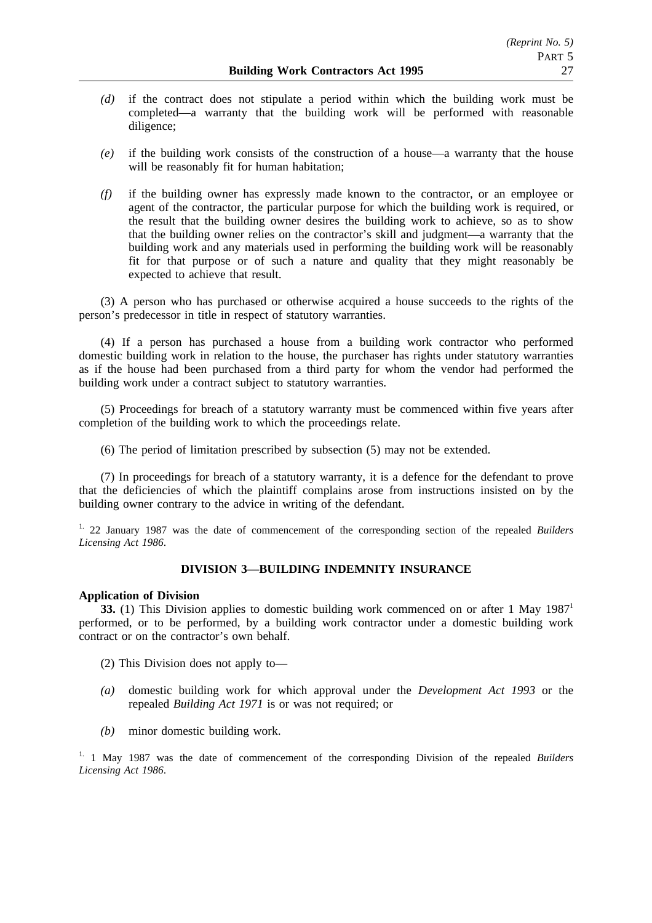- *(d)* if the contract does not stipulate a period within which the building work must be completed—a warranty that the building work will be performed with reasonable diligence;
- *(e)* if the building work consists of the construction of a house—a warranty that the house will be reasonably fit for human habitation;
- *(f)* if the building owner has expressly made known to the contractor, or an employee or agent of the contractor, the particular purpose for which the building work is required, or the result that the building owner desires the building work to achieve, so as to show that the building owner relies on the contractor's skill and judgment—a warranty that the building work and any materials used in performing the building work will be reasonably fit for that purpose or of such a nature and quality that they might reasonably be expected to achieve that result.

(3) A person who has purchased or otherwise acquired a house succeeds to the rights of the person's predecessor in title in respect of statutory warranties.

(4) If a person has purchased a house from a building work contractor who performed domestic building work in relation to the house, the purchaser has rights under statutory warranties as if the house had been purchased from a third party for whom the vendor had performed the building work under a contract subject to statutory warranties.

(5) Proceedings for breach of a statutory warranty must be commenced within five years after completion of the building work to which the proceedings relate.

(6) The period of limitation prescribed by subsection (5) may not be extended.

(7) In proceedings for breach of a statutory warranty, it is a defence for the defendant to prove that the deficiencies of which the plaintiff complains arose from instructions insisted on by the building owner contrary to the advice in writing of the defendant.

1. 22 January 1987 was the date of commencement of the corresponding section of the repealed *Builders Licensing Act 1986*.

# **DIVISION 3—BUILDING INDEMNITY INSURANCE**

# **Application of Division**

**33.** (1) This Division applies to domestic building work commenced on or after 1 May 1987<sup>1</sup> performed, or to be performed, by a building work contractor under a domestic building work contract or on the contractor's own behalf.

- (2) This Division does not apply to—
- *(a)* domestic building work for which approval under the *Development Act 1993* or the repealed *Building Act 1971* is or was not required; or
- *(b)* minor domestic building work.

1. 1 May 1987 was the date of commencement of the corresponding Division of the repealed *Builders Licensing Act 1986*.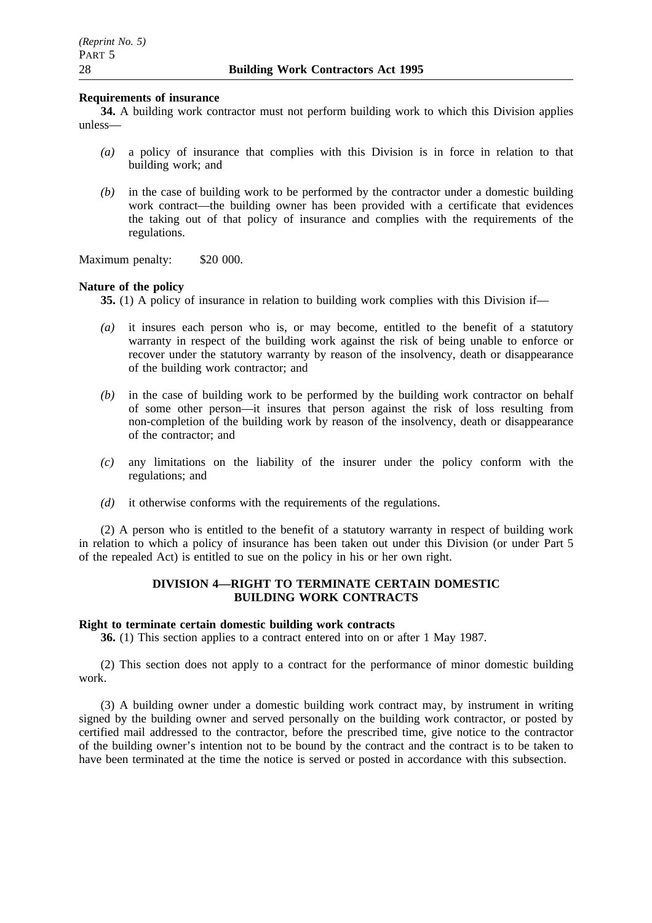# **Requirements of insurance**

**34.** A building work contractor must not perform building work to which this Division applies unless—

- *(a)* a policy of insurance that complies with this Division is in force in relation to that building work; and
- *(b)* in the case of building work to be performed by the contractor under a domestic building work contract—the building owner has been provided with a certificate that evidences the taking out of that policy of insurance and complies with the requirements of the regulations.

Maximum penalty: \$20 000.

#### **Nature of the policy**

**35.** (1) A policy of insurance in relation to building work complies with this Division if—

- *(a)* it insures each person who is, or may become, entitled to the benefit of a statutory warranty in respect of the building work against the risk of being unable to enforce or recover under the statutory warranty by reason of the insolvency, death or disappearance of the building work contractor; and
- *(b)* in the case of building work to be performed by the building work contractor on behalf of some other person—it insures that person against the risk of loss resulting from non-completion of the building work by reason of the insolvency, death or disappearance of the contractor; and
- *(c)* any limitations on the liability of the insurer under the policy conform with the regulations; and
- *(d)* it otherwise conforms with the requirements of the regulations.

(2) A person who is entitled to the benefit of a statutory warranty in respect of building work in relation to which a policy of insurance has been taken out under this Division (or under Part 5 of the repealed Act) is entitled to sue on the policy in his or her own right.

# **DIVISION 4—RIGHT TO TERMINATE CERTAIN DOMESTIC BUILDING WORK CONTRACTS**

#### **Right to terminate certain domestic building work contracts**

**36.** (1) This section applies to a contract entered into on or after 1 May 1987.

(2) This section does not apply to a contract for the performance of minor domestic building work.

(3) A building owner under a domestic building work contract may, by instrument in writing signed by the building owner and served personally on the building work contractor, or posted by certified mail addressed to the contractor, before the prescribed time, give notice to the contractor of the building owner's intention not to be bound by the contract and the contract is to be taken to have been terminated at the time the notice is served or posted in accordance with this subsection.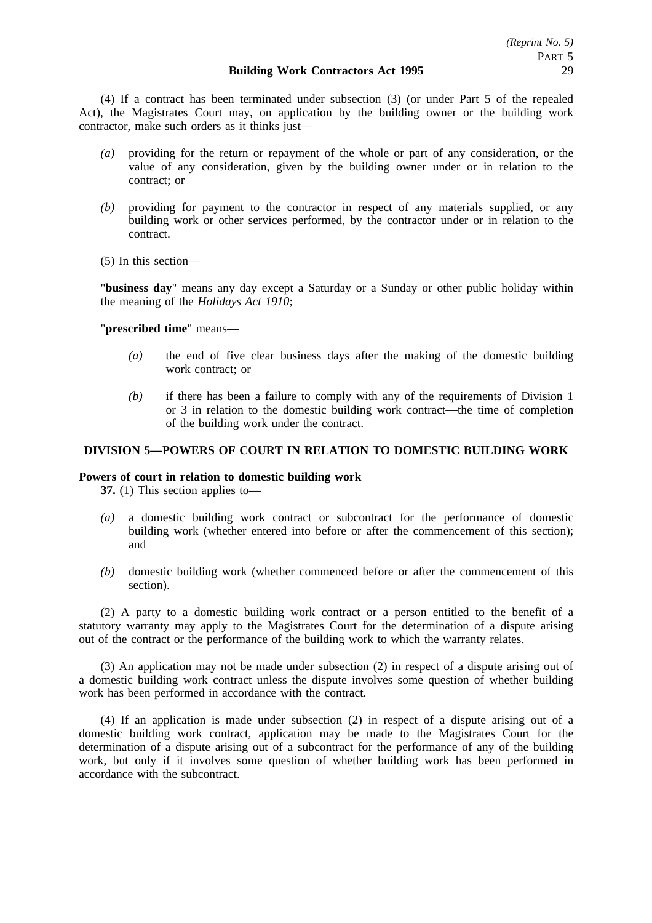(4) If a contract has been terminated under subsection (3) (or under Part 5 of the repealed Act), the Magistrates Court may, on application by the building owner or the building work contractor, make such orders as it thinks just—

- *(a)* providing for the return or repayment of the whole or part of any consideration, or the value of any consideration, given by the building owner under or in relation to the contract; or
- *(b)* providing for payment to the contractor in respect of any materials supplied, or any building work or other services performed, by the contractor under or in relation to the contract.
- (5) In this section—

"**business day**" means any day except a Saturday or a Sunday or other public holiday within the meaning of the *Holidays Act 1910*;

"**prescribed time**" means—

- *(a)* the end of five clear business days after the making of the domestic building work contract; or
- *(b)* if there has been a failure to comply with any of the requirements of Division 1 or 3 in relation to the domestic building work contract—the time of completion of the building work under the contract.

# **DIVISION 5—POWERS OF COURT IN RELATION TO DOMESTIC BUILDING WORK**

# **Powers of court in relation to domestic building work**

**37.** (1) This section applies to—

- *(a)* a domestic building work contract or subcontract for the performance of domestic building work (whether entered into before or after the commencement of this section); and
- *(b)* domestic building work (whether commenced before or after the commencement of this section).

(2) A party to a domestic building work contract or a person entitled to the benefit of a statutory warranty may apply to the Magistrates Court for the determination of a dispute arising out of the contract or the performance of the building work to which the warranty relates.

(3) An application may not be made under subsection (2) in respect of a dispute arising out of a domestic building work contract unless the dispute involves some question of whether building work has been performed in accordance with the contract.

(4) If an application is made under subsection (2) in respect of a dispute arising out of a domestic building work contract, application may be made to the Magistrates Court for the determination of a dispute arising out of a subcontract for the performance of any of the building work, but only if it involves some question of whether building work has been performed in accordance with the subcontract.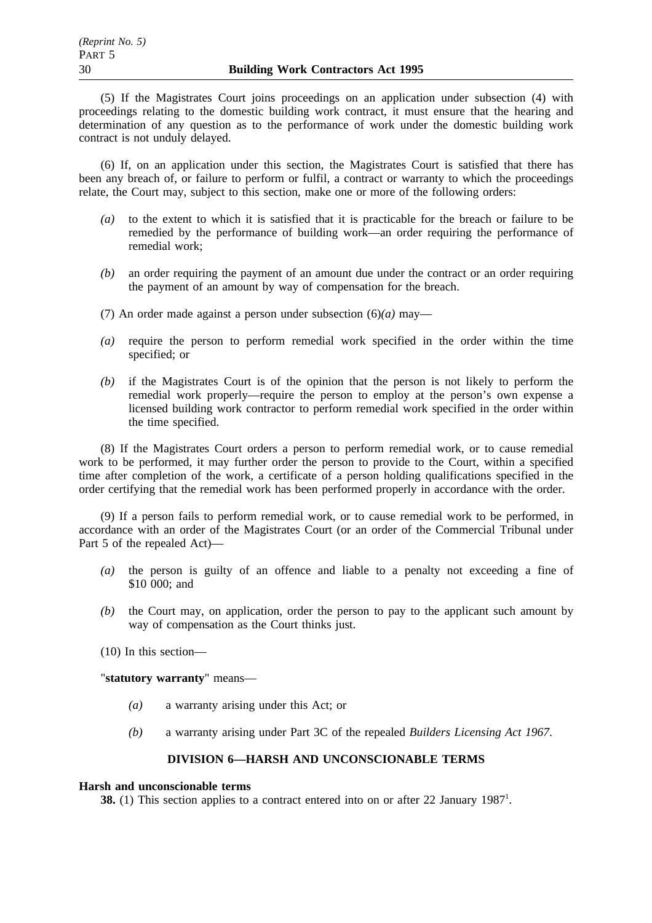(5) If the Magistrates Court joins proceedings on an application under subsection (4) with proceedings relating to the domestic building work contract, it must ensure that the hearing and determination of any question as to the performance of work under the domestic building work contract is not unduly delayed.

(6) If, on an application under this section, the Magistrates Court is satisfied that there has been any breach of, or failure to perform or fulfil, a contract or warranty to which the proceedings relate, the Court may, subject to this section, make one or more of the following orders:

- *(a)* to the extent to which it is satisfied that it is practicable for the breach or failure to be remedied by the performance of building work—an order requiring the performance of remedial work;
- *(b)* an order requiring the payment of an amount due under the contract or an order requiring the payment of an amount by way of compensation for the breach.
- (7) An order made against a person under subsection (6)*(a)* may—
- *(a)* require the person to perform remedial work specified in the order within the time specified; or
- *(b)* if the Magistrates Court is of the opinion that the person is not likely to perform the remedial work properly—require the person to employ at the person's own expense a licensed building work contractor to perform remedial work specified in the order within the time specified.

(8) If the Magistrates Court orders a person to perform remedial work, or to cause remedial work to be performed, it may further order the person to provide to the Court, within a specified time after completion of the work, a certificate of a person holding qualifications specified in the order certifying that the remedial work has been performed properly in accordance with the order.

(9) If a person fails to perform remedial work, or to cause remedial work to be performed, in accordance with an order of the Magistrates Court (or an order of the Commercial Tribunal under Part 5 of the repealed Act)—

- *(a)* the person is guilty of an offence and liable to a penalty not exceeding a fine of \$10 000; and
- *(b)* the Court may, on application, order the person to pay to the applicant such amount by way of compensation as the Court thinks just.
- (10) In this section—

"**statutory warranty**" means—

- *(a)* a warranty arising under this Act; or
- *(b)* a warranty arising under Part 3C of the repealed *Builders Licensing Act 1967*.

# **DIVISION 6—HARSH AND UNCONSCIONABLE TERMS**

#### **Harsh and unconscionable terms**

**38.** (1) This section applies to a contract entered into on or after 22 January 1987<sup>1</sup>.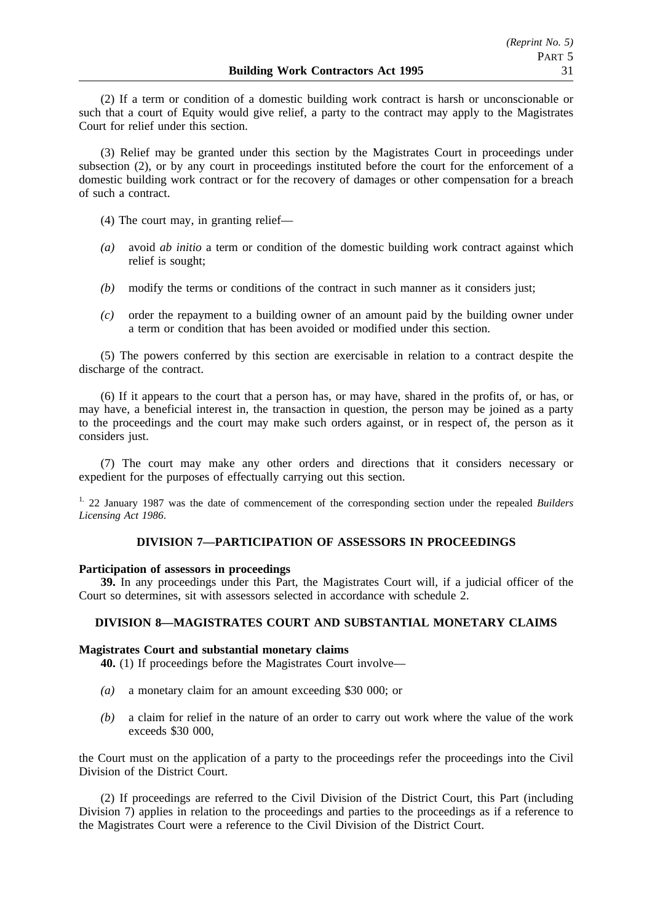(2) If a term or condition of a domestic building work contract is harsh or unconscionable or such that a court of Equity would give relief, a party to the contract may apply to the Magistrates Court for relief under this section.

(3) Relief may be granted under this section by the Magistrates Court in proceedings under subsection (2), or by any court in proceedings instituted before the court for the enforcement of a domestic building work contract or for the recovery of damages or other compensation for a breach of such a contract.

- (4) The court may, in granting relief—
- *(a)* avoid *ab initio* a term or condition of the domestic building work contract against which relief is sought;
- *(b)* modify the terms or conditions of the contract in such manner as it considers just;
- *(c)* order the repayment to a building owner of an amount paid by the building owner under a term or condition that has been avoided or modified under this section.

(5) The powers conferred by this section are exercisable in relation to a contract despite the discharge of the contract.

(6) If it appears to the court that a person has, or may have, shared in the profits of, or has, or may have, a beneficial interest in, the transaction in question, the person may be joined as a party to the proceedings and the court may make such orders against, or in respect of, the person as it considers just.

(7) The court may make any other orders and directions that it considers necessary or expedient for the purposes of effectually carrying out this section.

1. 22 January 1987 was the date of commencement of the corresponding section under the repealed *Builders Licensing Act 1986*.

# **DIVISION 7—PARTICIPATION OF ASSESSORS IN PROCEEDINGS**

# **Participation of assessors in proceedings**

**39.** In any proceedings under this Part, the Magistrates Court will, if a judicial officer of the Court so determines, sit with assessors selected in accordance with schedule 2.

# **DIVISION 8—MAGISTRATES COURT AND SUBSTANTIAL MONETARY CLAIMS**

# **Magistrates Court and substantial monetary claims**

**40.** (1) If proceedings before the Magistrates Court involve—

- *(a)* a monetary claim for an amount exceeding \$30 000; or
- *(b)* a claim for relief in the nature of an order to carry out work where the value of the work exceeds \$30 000,

the Court must on the application of a party to the proceedings refer the proceedings into the Civil Division of the District Court.

(2) If proceedings are referred to the Civil Division of the District Court, this Part (including Division 7) applies in relation to the proceedings and parties to the proceedings as if a reference to the Magistrates Court were a reference to the Civil Division of the District Court.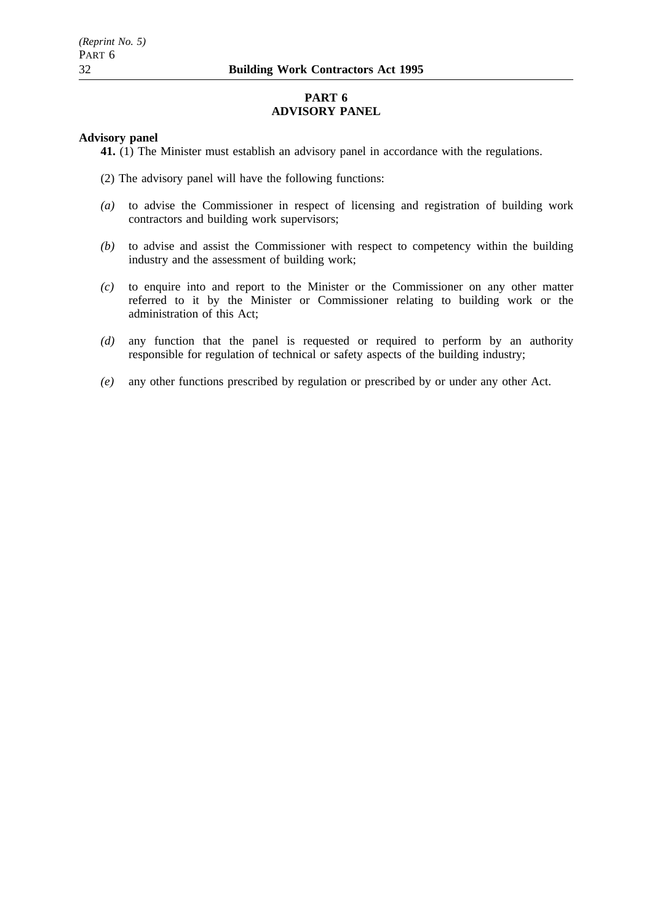# **PART 6 ADVISORY PANEL**

# **Advisory panel**

**41.** (1) The Minister must establish an advisory panel in accordance with the regulations.

- (2) The advisory panel will have the following functions:
- *(a)* to advise the Commissioner in respect of licensing and registration of building work contractors and building work supervisors;
- *(b)* to advise and assist the Commissioner with respect to competency within the building industry and the assessment of building work;
- *(c)* to enquire into and report to the Minister or the Commissioner on any other matter referred to it by the Minister or Commissioner relating to building work or the administration of this Act;
- *(d)* any function that the panel is requested or required to perform by an authority responsible for regulation of technical or safety aspects of the building industry;
- *(e)* any other functions prescribed by regulation or prescribed by or under any other Act.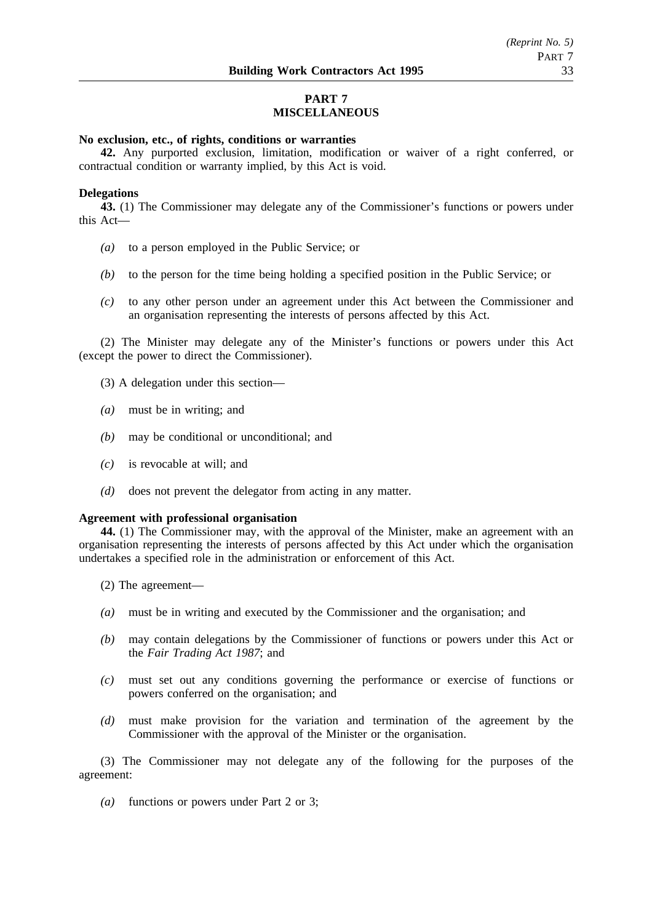# **PART 7 MISCELLANEOUS**

# **No exclusion, etc., of rights, conditions or warranties**

**42.** Any purported exclusion, limitation, modification or waiver of a right conferred, or contractual condition or warranty implied, by this Act is void.

# **Delegations**

**43.** (1) The Commissioner may delegate any of the Commissioner's functions or powers under this Act—

- *(a)* to a person employed in the Public Service; or
- *(b)* to the person for the time being holding a specified position in the Public Service; or
- *(c)* to any other person under an agreement under this Act between the Commissioner and an organisation representing the interests of persons affected by this Act.

(2) The Minister may delegate any of the Minister's functions or powers under this Act (except the power to direct the Commissioner).

- (3) A delegation under this section—
- *(a)* must be in writing; and
- *(b)* may be conditional or unconditional; and
- *(c)* is revocable at will; and
- *(d)* does not prevent the delegator from acting in any matter.

#### **Agreement with professional organisation**

**44.** (1) The Commissioner may, with the approval of the Minister, make an agreement with an organisation representing the interests of persons affected by this Act under which the organisation undertakes a specified role in the administration or enforcement of this Act.

- (2) The agreement—
- *(a)* must be in writing and executed by the Commissioner and the organisation; and
- *(b)* may contain delegations by the Commissioner of functions or powers under this Act or the *Fair Trading Act 1987*; and
- *(c)* must set out any conditions governing the performance or exercise of functions or powers conferred on the organisation; and
- *(d)* must make provision for the variation and termination of the agreement by the Commissioner with the approval of the Minister or the organisation.

(3) The Commissioner may not delegate any of the following for the purposes of the agreement:

*(a)* functions or powers under Part 2 or 3;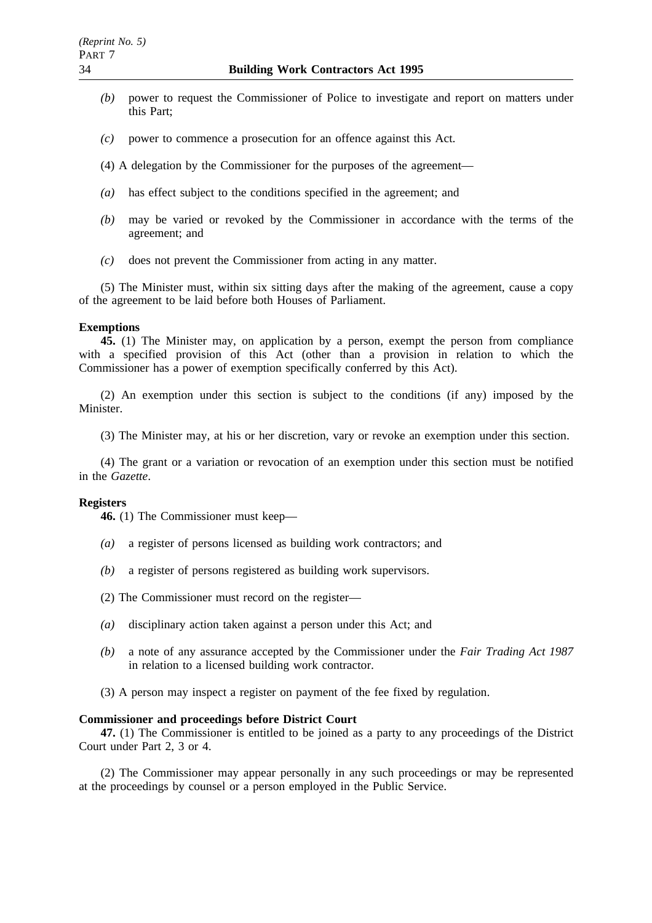- *(b)* power to request the Commissioner of Police to investigate and report on matters under this Part;
- *(c)* power to commence a prosecution for an offence against this Act.
- (4) A delegation by the Commissioner for the purposes of the agreement—
- *(a)* has effect subject to the conditions specified in the agreement; and
- *(b)* may be varied or revoked by the Commissioner in accordance with the terms of the agreement; and
- *(c)* does not prevent the Commissioner from acting in any matter.

(5) The Minister must, within six sitting days after the making of the agreement, cause a copy of the agreement to be laid before both Houses of Parliament.

#### **Exemptions**

**45.** (1) The Minister may, on application by a person, exempt the person from compliance with a specified provision of this Act (other than a provision in relation to which the Commissioner has a power of exemption specifically conferred by this Act).

(2) An exemption under this section is subject to the conditions (if any) imposed by the Minister.

(3) The Minister may, at his or her discretion, vary or revoke an exemption under this section.

(4) The grant or a variation or revocation of an exemption under this section must be notified in the *Gazette*.

#### **Registers**

**46.** (1) The Commissioner must keep—

- *(a)* a register of persons licensed as building work contractors; and
- *(b)* a register of persons registered as building work supervisors.
- (2) The Commissioner must record on the register—
- *(a)* disciplinary action taken against a person under this Act; and
- *(b)* a note of any assurance accepted by the Commissioner under the *Fair Trading Act 1987* in relation to a licensed building work contractor.
- (3) A person may inspect a register on payment of the fee fixed by regulation.

#### **Commissioner and proceedings before District Court**

**47.** (1) The Commissioner is entitled to be joined as a party to any proceedings of the District Court under Part 2, 3 or 4.

(2) The Commissioner may appear personally in any such proceedings or may be represented at the proceedings by counsel or a person employed in the Public Service.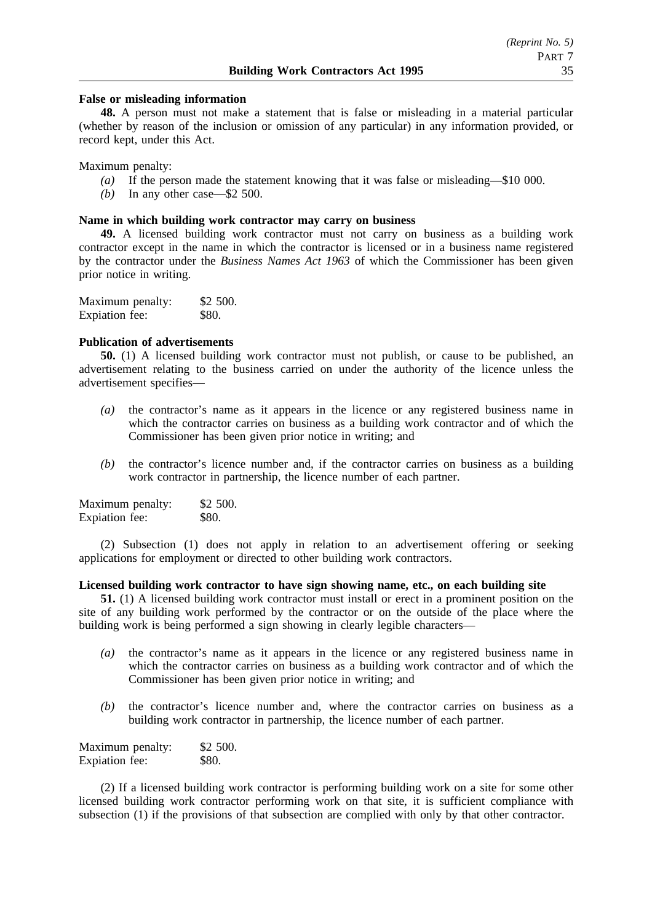# **False or misleading information**

**48.** A person must not make a statement that is false or misleading in a material particular (whether by reason of the inclusion or omission of any particular) in any information provided, or record kept, under this Act.

Maximum penalty:

- *(a)* If the person made the statement knowing that it was false or misleading—\$10 000.
- *(b)* In any other case—\$2 500.

#### **Name in which building work contractor may carry on business**

**49.** A licensed building work contractor must not carry on business as a building work contractor except in the name in which the contractor is licensed or in a business name registered by the contractor under the *Business Names Act 1963* of which the Commissioner has been given prior notice in writing.

| Maximum penalty: | \$2 500. |
|------------------|----------|
| Expiation fee:   | \$80.    |

# **Publication of advertisements**

**50.** (1) A licensed building work contractor must not publish, or cause to be published, an advertisement relating to the business carried on under the authority of the licence unless the advertisement specifies—

- *(a)* the contractor's name as it appears in the licence or any registered business name in which the contractor carries on business as a building work contractor and of which the Commissioner has been given prior notice in writing; and
- *(b)* the contractor's licence number and, if the contractor carries on business as a building work contractor in partnership, the licence number of each partner.

| Maximum penalty: | \$2 500. |
|------------------|----------|
| Expiation fee:   | \$80.    |

(2) Subsection (1) does not apply in relation to an advertisement offering or seeking applications for employment or directed to other building work contractors.

# **Licensed building work contractor to have sign showing name, etc., on each building site**

**51.** (1) A licensed building work contractor must install or erect in a prominent position on the site of any building work performed by the contractor or on the outside of the place where the building work is being performed a sign showing in clearly legible characters—

- *(a)* the contractor's name as it appears in the licence or any registered business name in which the contractor carries on business as a building work contractor and of which the Commissioner has been given prior notice in writing; and
- *(b)* the contractor's licence number and, where the contractor carries on business as a building work contractor in partnership, the licence number of each partner.

| Maximum penalty: | \$2 500.     |
|------------------|--------------|
| Expiation fee:   | <b>\$80.</b> |

(2) If a licensed building work contractor is performing building work on a site for some other licensed building work contractor performing work on that site, it is sufficient compliance with subsection (1) if the provisions of that subsection are complied with only by that other contractor.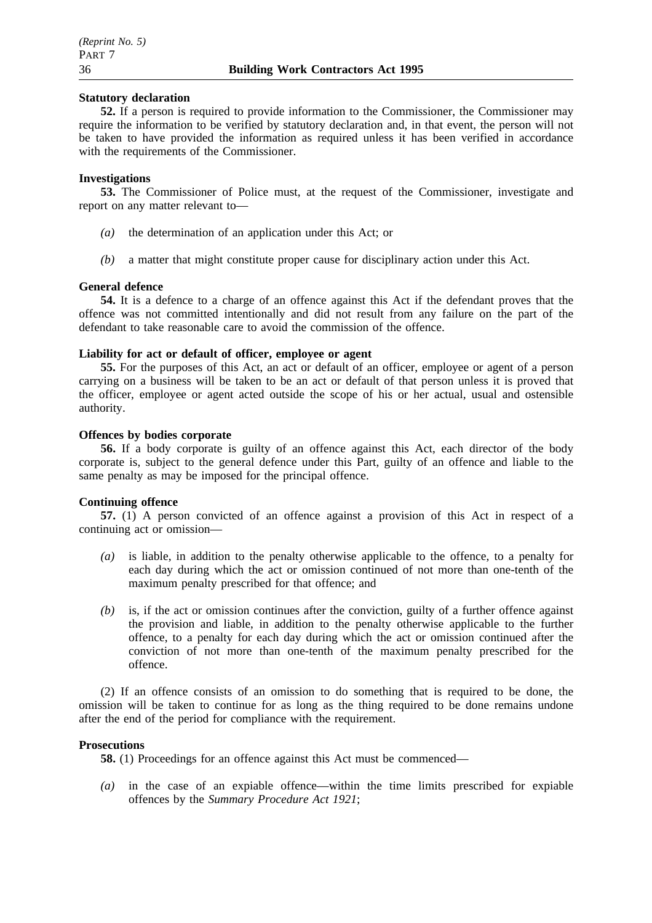# **Statutory declaration**

**52.** If a person is required to provide information to the Commissioner, the Commissioner may require the information to be verified by statutory declaration and, in that event, the person will not be taken to have provided the information as required unless it has been verified in accordance with the requirements of the Commissioner.

# **Investigations**

**53.** The Commissioner of Police must, at the request of the Commissioner, investigate and report on any matter relevant to—

- *(a)* the determination of an application under this Act; or
- *(b)* a matter that might constitute proper cause for disciplinary action under this Act.

#### **General defence**

**54.** It is a defence to a charge of an offence against this Act if the defendant proves that the offence was not committed intentionally and did not result from any failure on the part of the defendant to take reasonable care to avoid the commission of the offence.

# **Liability for act or default of officer, employee or agent**

**55.** For the purposes of this Act, an act or default of an officer, employee or agent of a person carrying on a business will be taken to be an act or default of that person unless it is proved that the officer, employee or agent acted outside the scope of his or her actual, usual and ostensible authority.

#### **Offences by bodies corporate**

**56.** If a body corporate is guilty of an offence against this Act, each director of the body corporate is, subject to the general defence under this Part, guilty of an offence and liable to the same penalty as may be imposed for the principal offence.

#### **Continuing offence**

**57.** (1) A person convicted of an offence against a provision of this Act in respect of a continuing act or omission—

- *(a)* is liable, in addition to the penalty otherwise applicable to the offence, to a penalty for each day during which the act or omission continued of not more than one-tenth of the maximum penalty prescribed for that offence; and
- *(b)* is, if the act or omission continues after the conviction, guilty of a further offence against the provision and liable, in addition to the penalty otherwise applicable to the further offence, to a penalty for each day during which the act or omission continued after the conviction of not more than one-tenth of the maximum penalty prescribed for the offence.

(2) If an offence consists of an omission to do something that is required to be done, the omission will be taken to continue for as long as the thing required to be done remains undone after the end of the period for compliance with the requirement.

#### **Prosecutions**

**58.** (1) Proceedings for an offence against this Act must be commenced—

*(a)* in the case of an expiable offence—within the time limits prescribed for expiable offences by the *Summary Procedure Act 1921*;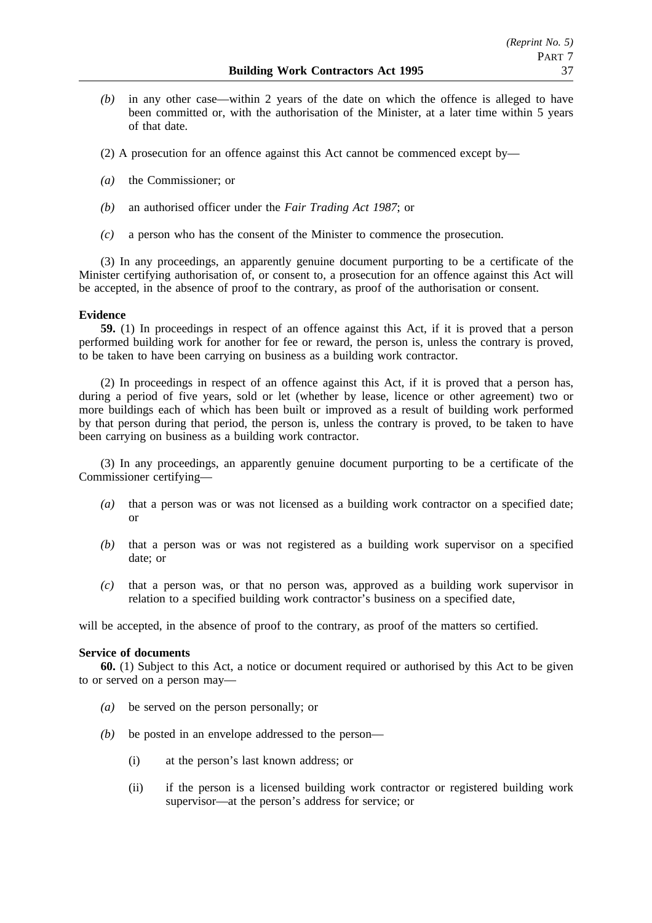*(b)* in any other case—within 2 years of the date on which the offence is alleged to have been committed or, with the authorisation of the Minister, at a later time within 5 years of that date.

(2) A prosecution for an offence against this Act cannot be commenced except by—

- *(a)* the Commissioner; or
- *(b)* an authorised officer under the *Fair Trading Act 1987*; or
- *(c)* a person who has the consent of the Minister to commence the prosecution.

(3) In any proceedings, an apparently genuine document purporting to be a certificate of the Minister certifying authorisation of, or consent to, a prosecution for an offence against this Act will be accepted, in the absence of proof to the contrary, as proof of the authorisation or consent.

# **Evidence**

**59.** (1) In proceedings in respect of an offence against this Act, if it is proved that a person performed building work for another for fee or reward, the person is, unless the contrary is proved, to be taken to have been carrying on business as a building work contractor.

(2) In proceedings in respect of an offence against this Act, if it is proved that a person has, during a period of five years, sold or let (whether by lease, licence or other agreement) two or more buildings each of which has been built or improved as a result of building work performed by that person during that period, the person is, unless the contrary is proved, to be taken to have been carrying on business as a building work contractor.

(3) In any proceedings, an apparently genuine document purporting to be a certificate of the Commissioner certifying—

- *(a)* that a person was or was not licensed as a building work contractor on a specified date; or
- *(b)* that a person was or was not registered as a building work supervisor on a specified date; or
- *(c)* that a person was, or that no person was, approved as a building work supervisor in relation to a specified building work contractor's business on a specified date,

will be accepted, in the absence of proof to the contrary, as proof of the matters so certified.

# **Service of documents**

**60.** (1) Subject to this Act, a notice or document required or authorised by this Act to be given to or served on a person may—

- *(a)* be served on the person personally; or
- *(b)* be posted in an envelope addressed to the person—
	- (i) at the person's last known address; or
	- (ii) if the person is a licensed building work contractor or registered building work supervisor—at the person's address for service; or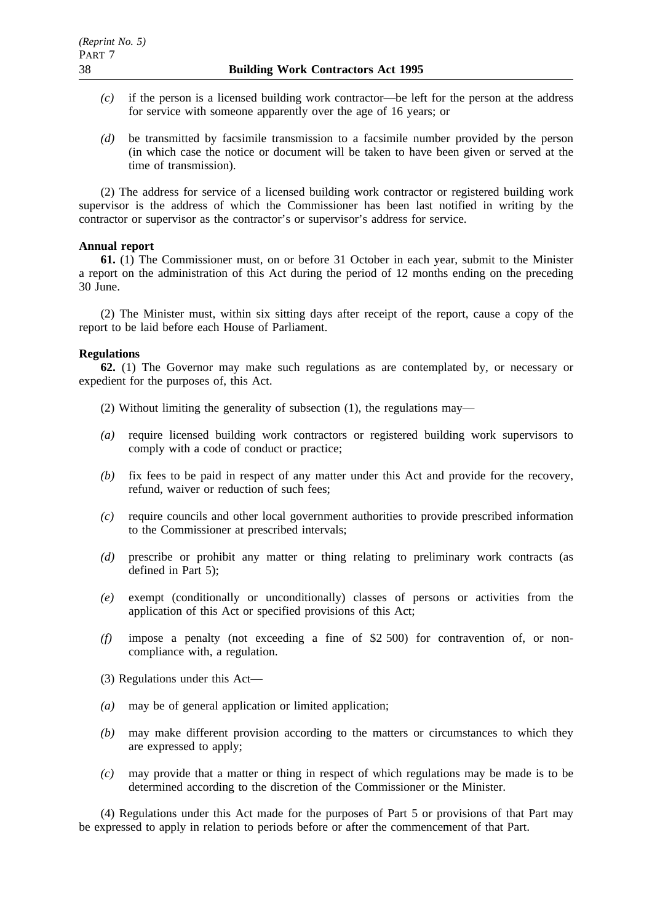- *(c)* if the person is a licensed building work contractor—be left for the person at the address for service with someone apparently over the age of 16 years; or
- *(d)* be transmitted by facsimile transmission to a facsimile number provided by the person (in which case the notice or document will be taken to have been given or served at the time of transmission).

(2) The address for service of a licensed building work contractor or registered building work supervisor is the address of which the Commissioner has been last notified in writing by the contractor or supervisor as the contractor's or supervisor's address for service.

# **Annual report**

**61.** (1) The Commissioner must, on or before 31 October in each year, submit to the Minister a report on the administration of this Act during the period of 12 months ending on the preceding 30 June.

(2) The Minister must, within six sitting days after receipt of the report, cause a copy of the report to be laid before each House of Parliament.

# **Regulations**

**62.** (1) The Governor may make such regulations as are contemplated by, or necessary or expedient for the purposes of, this Act.

- (2) Without limiting the generality of subsection (1), the regulations may—
- *(a)* require licensed building work contractors or registered building work supervisors to comply with a code of conduct or practice;
- *(b)* fix fees to be paid in respect of any matter under this Act and provide for the recovery, refund, waiver or reduction of such fees;
- *(c)* require councils and other local government authorities to provide prescribed information to the Commissioner at prescribed intervals;
- *(d)* prescribe or prohibit any matter or thing relating to preliminary work contracts (as defined in Part 5);
- *(e)* exempt (conditionally or unconditionally) classes of persons or activities from the application of this Act or specified provisions of this Act;
- *(f)* impose a penalty (not exceeding a fine of \$2 500) for contravention of, or noncompliance with, a regulation.
- (3) Regulations under this Act—
- *(a)* may be of general application or limited application;
- *(b)* may make different provision according to the matters or circumstances to which they are expressed to apply;
- *(c)* may provide that a matter or thing in respect of which regulations may be made is to be determined according to the discretion of the Commissioner or the Minister.

(4) Regulations under this Act made for the purposes of Part 5 or provisions of that Part may be expressed to apply in relation to periods before or after the commencement of that Part.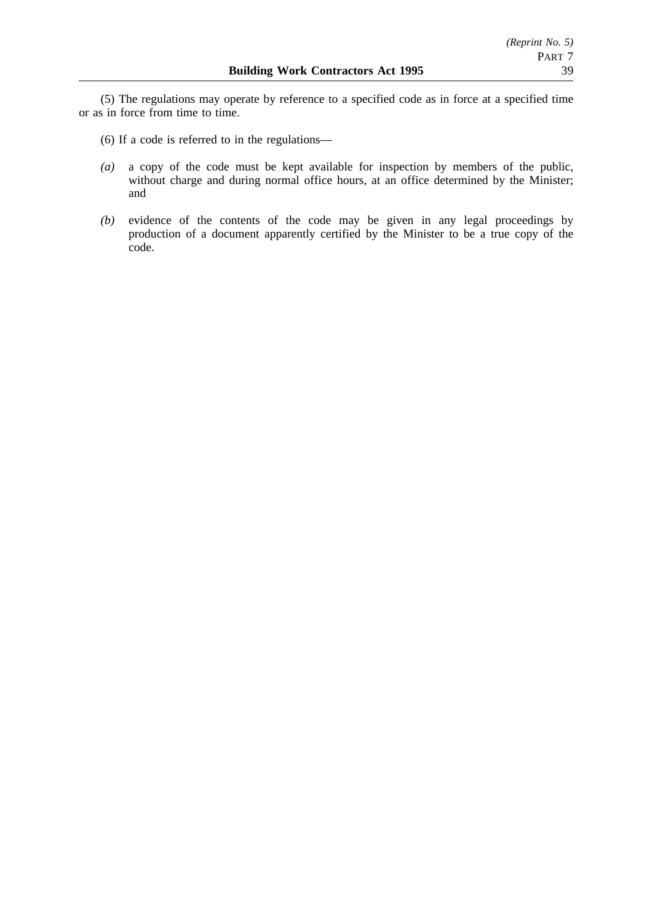(5) The regulations may operate by reference to a specified code as in force at a specified time or as in force from time to time.

- (6) If a code is referred to in the regulations—
- *(a)* a copy of the code must be kept available for inspection by members of the public, without charge and during normal office hours, at an office determined by the Minister; and
- *(b)* evidence of the contents of the code may be given in any legal proceedings by production of a document apparently certified by the Minister to be a true copy of the code.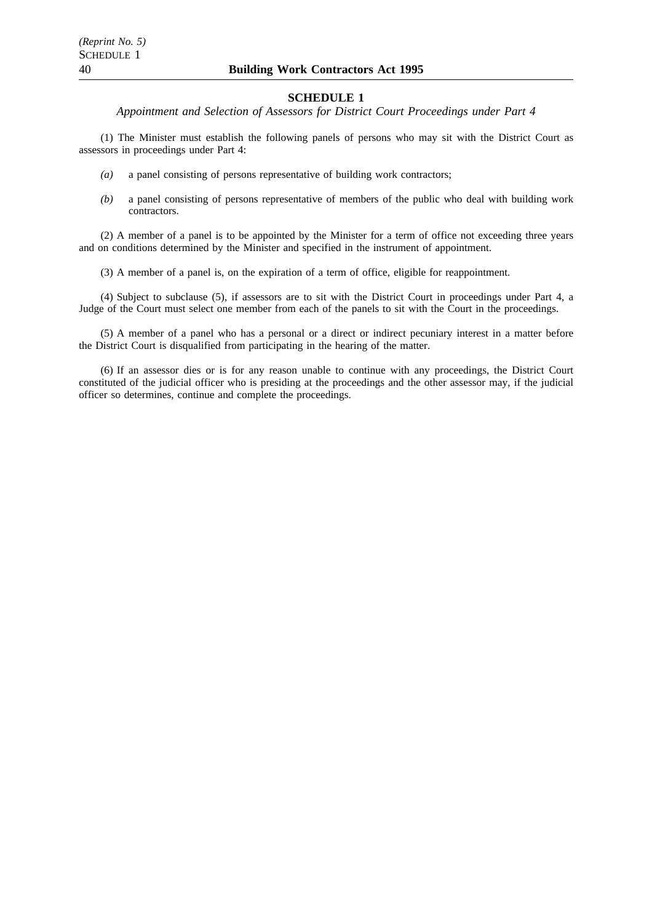*Appointment and Selection of Assessors for District Court Proceedings under Part 4*

(1) The Minister must establish the following panels of persons who may sit with the District Court as assessors in proceedings under Part 4:

- *(a)* a panel consisting of persons representative of building work contractors;
- *(b)* a panel consisting of persons representative of members of the public who deal with building work contractors.

(2) A member of a panel is to be appointed by the Minister for a term of office not exceeding three years and on conditions determined by the Minister and specified in the instrument of appointment.

(3) A member of a panel is, on the expiration of a term of office, eligible for reappointment.

(4) Subject to subclause (5), if assessors are to sit with the District Court in proceedings under Part 4, a Judge of the Court must select one member from each of the panels to sit with the Court in the proceedings.

(5) A member of a panel who has a personal or a direct or indirect pecuniary interest in a matter before the District Court is disqualified from participating in the hearing of the matter.

(6) If an assessor dies or is for any reason unable to continue with any proceedings, the District Court constituted of the judicial officer who is presiding at the proceedings and the other assessor may, if the judicial officer so determines, continue and complete the proceedings.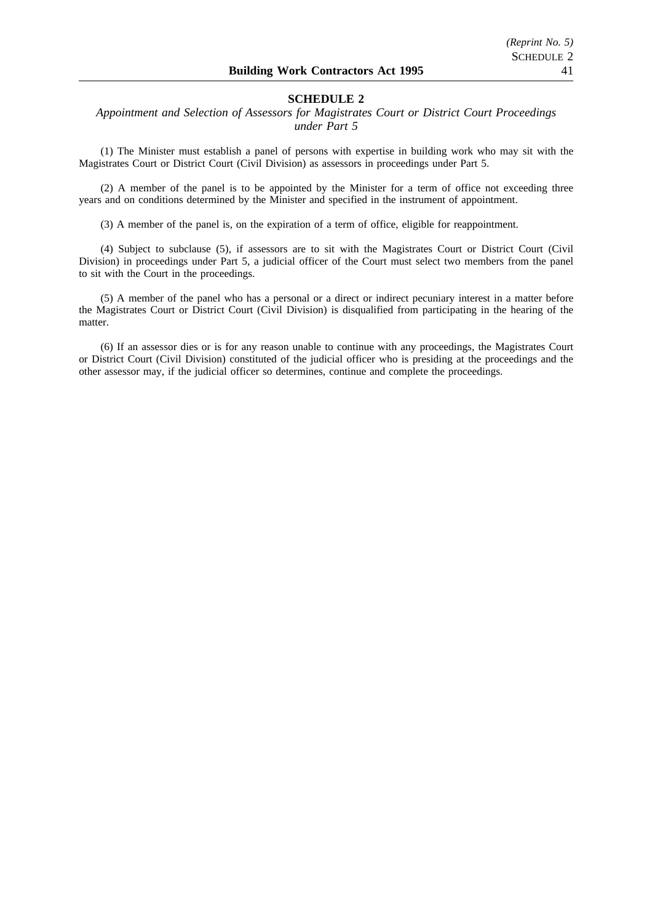# *Appointment and Selection of Assessors for Magistrates Court or District Court Proceedings under Part 5*

(1) The Minister must establish a panel of persons with expertise in building work who may sit with the Magistrates Court or District Court (Civil Division) as assessors in proceedings under Part 5.

(2) A member of the panel is to be appointed by the Minister for a term of office not exceeding three years and on conditions determined by the Minister and specified in the instrument of appointment.

(3) A member of the panel is, on the expiration of a term of office, eligible for reappointment.

(4) Subject to subclause (5), if assessors are to sit with the Magistrates Court or District Court (Civil Division) in proceedings under Part 5, a judicial officer of the Court must select two members from the panel to sit with the Court in the proceedings.

(5) A member of the panel who has a personal or a direct or indirect pecuniary interest in a matter before the Magistrates Court or District Court (Civil Division) is disqualified from participating in the hearing of the matter.

(6) If an assessor dies or is for any reason unable to continue with any proceedings, the Magistrates Court or District Court (Civil Division) constituted of the judicial officer who is presiding at the proceedings and the other assessor may, if the judicial officer so determines, continue and complete the proceedings.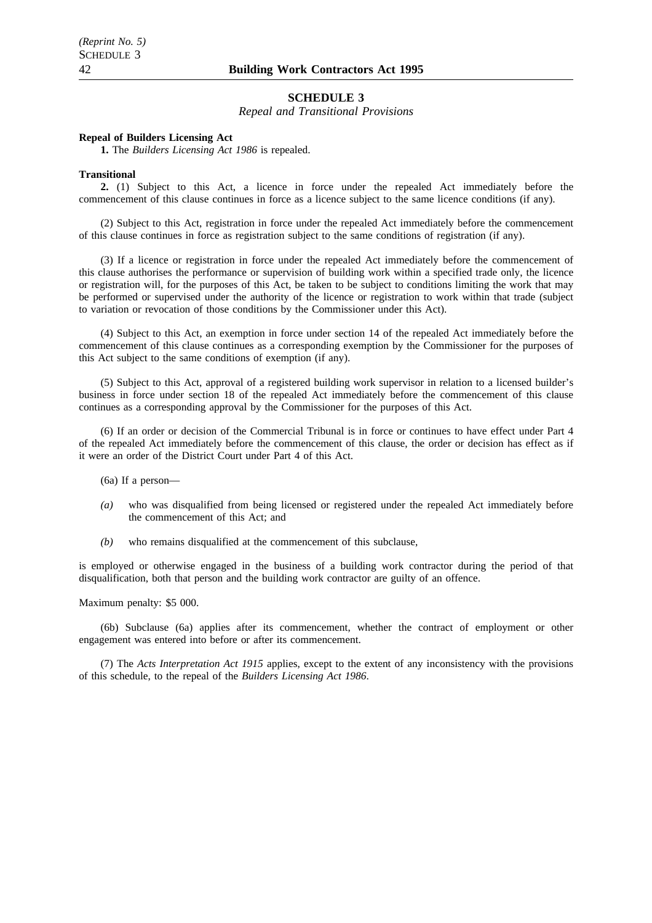*Repeal and Transitional Provisions*

#### **Repeal of Builders Licensing Act**

**1.** The *Builders Licensing Act 1986* is repealed.

#### **Transitional**

**2.** (1) Subject to this Act, a licence in force under the repealed Act immediately before the commencement of this clause continues in force as a licence subject to the same licence conditions (if any).

(2) Subject to this Act, registration in force under the repealed Act immediately before the commencement of this clause continues in force as registration subject to the same conditions of registration (if any).

(3) If a licence or registration in force under the repealed Act immediately before the commencement of this clause authorises the performance or supervision of building work within a specified trade only, the licence or registration will, for the purposes of this Act, be taken to be subject to conditions limiting the work that may be performed or supervised under the authority of the licence or registration to work within that trade (subject to variation or revocation of those conditions by the Commissioner under this Act).

(4) Subject to this Act, an exemption in force under section 14 of the repealed Act immediately before the commencement of this clause continues as a corresponding exemption by the Commissioner for the purposes of this Act subject to the same conditions of exemption (if any).

(5) Subject to this Act, approval of a registered building work supervisor in relation to a licensed builder's business in force under section 18 of the repealed Act immediately before the commencement of this clause continues as a corresponding approval by the Commissioner for the purposes of this Act.

(6) If an order or decision of the Commercial Tribunal is in force or continues to have effect under Part 4 of the repealed Act immediately before the commencement of this clause, the order or decision has effect as if it were an order of the District Court under Part 4 of this Act.

(6a) If a person—

- *(a)* who was disqualified from being licensed or registered under the repealed Act immediately before the commencement of this Act; and
- *(b)* who remains disqualified at the commencement of this subclause,

is employed or otherwise engaged in the business of a building work contractor during the period of that disqualification, both that person and the building work contractor are guilty of an offence.

Maximum penalty: \$5 000.

(6b) Subclause (6a) applies after its commencement, whether the contract of employment or other engagement was entered into before or after its commencement.

(7) The *Acts Interpretation Act 1915* applies, except to the extent of any inconsistency with the provisions of this schedule, to the repeal of the *Builders Licensing Act 1986*.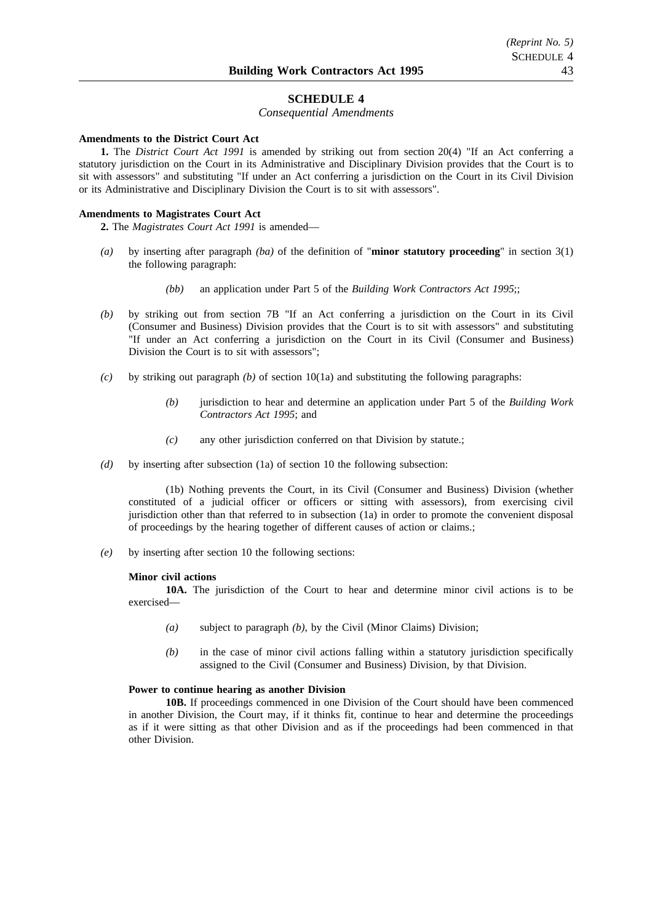#### *Consequential Amendments*

#### **Amendments to the District Court Act**

**1.** The *District Court Act 1991* is amended by striking out from section 20(4) "If an Act conferring a statutory jurisdiction on the Court in its Administrative and Disciplinary Division provides that the Court is to sit with assessors" and substituting "If under an Act conferring a jurisdiction on the Court in its Civil Division or its Administrative and Disciplinary Division the Court is to sit with assessors".

#### **Amendments to Magistrates Court Act**

**2.** The *Magistrates Court Act 1991* is amended—

- *(a)* by inserting after paragraph *(ba)* of the definition of "**minor statutory proceeding**" in section 3(1) the following paragraph:
	- *(bb)* an application under Part 5 of the *Building Work Contractors Act 1995*;;
- *(b)* by striking out from section 7B "If an Act conferring a jurisdiction on the Court in its Civil (Consumer and Business) Division provides that the Court is to sit with assessors" and substituting "If under an Act conferring a jurisdiction on the Court in its Civil (Consumer and Business) Division the Court is to sit with assessors";
- *(c)* by striking out paragraph *(b)* of section 10(1a) and substituting the following paragraphs:
	- *(b)* jurisdiction to hear and determine an application under Part 5 of the *Building Work Contractors Act 1995*; and
	- *(c)* any other jurisdiction conferred on that Division by statute.;
- *(d)* by inserting after subsection (1a) of section 10 the following subsection:

(1b) Nothing prevents the Court, in its Civil (Consumer and Business) Division (whether constituted of a judicial officer or officers or sitting with assessors), from exercising civil jurisdiction other than that referred to in subsection (1a) in order to promote the convenient disposal of proceedings by the hearing together of different causes of action or claims.;

*(e)* by inserting after section 10 the following sections:

#### **Minor civil actions**

**10A.** The jurisdiction of the Court to hear and determine minor civil actions is to be exercised—

- *(a)* subject to paragraph *(b)*, by the Civil (Minor Claims) Division;
- *(b)* in the case of minor civil actions falling within a statutory jurisdiction specifically assigned to the Civil (Consumer and Business) Division, by that Division.

#### **Power to continue hearing as another Division**

**10B.** If proceedings commenced in one Division of the Court should have been commenced in another Division, the Court may, if it thinks fit, continue to hear and determine the proceedings as if it were sitting as that other Division and as if the proceedings had been commenced in that other Division.